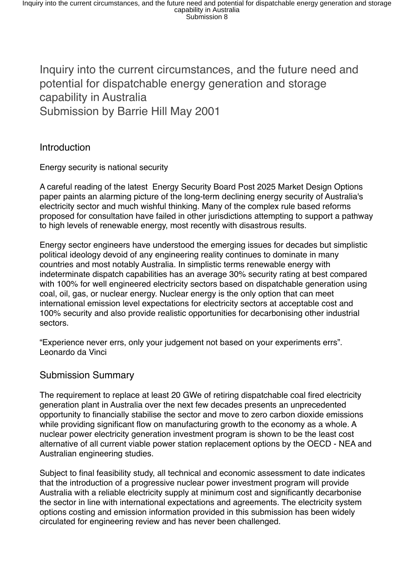Inquiry into the current circumstances, and the future need and potential for dispatchable energy generation and storage capability in Australia Submission by Barrie Hill May 2001

# Introduction

Energy security is national security

A careful reading of the latest Energy Security Board Post 2025 Market Design Options paper paints an alarming picture of the long-term declining energy security of Australia's electricity sector and much wishful thinking. Many of the complex rule based reforms proposed for consultation have failed in other jurisdictions attempting to support a pathway to high levels of renewable energy, most recently with disastrous results.

Energy sector engineers have understood the emerging issues for decades but simplistic political ideology devoid of any engineering reality continues to dominate in many countries and most notably Australia. In simplistic terms renewable energy with indeterminate dispatch capabilities has an average 30% security rating at best compared with 100% for well engineered electricity sectors based on dispatchable generation using coal, oil, gas, or nuclear energy. Nuclear energy is the only option that can meet international emission level expectations for electricity sectors at acceptable cost and 100% security and also provide realistic opportunities for decarbonising other industrial sectors.

"Experience never errs, only your judgement not based on your experiments errs". Leonardo da Vinci

# Submission Summary

The requirement to replace at least 20 GWe of retiring dispatchable coal fired electricity generation plant in Australia over the next few decades presents an unprecedented opportunity to financially stabilise the sector and move to zero carbon dioxide emissions while providing significant flow on manufacturing growth to the economy as a whole. A nuclear power electricity generation investment program is shown to be the least cost alternative of all current viable power station replacement options by the OECD - NEA and Australian engineering studies.

Subject to final feasibility study, all technical and economic assessment to date indicates that the introduction of a progressive nuclear power investment program will provide Australia with a reliable electricity supply at minimum cost and significantly decarbonise the sector in line with international expectations and agreements. The electricity system options costing and emission information provided in this submission has been widely circulated for engineering review and has never been challenged.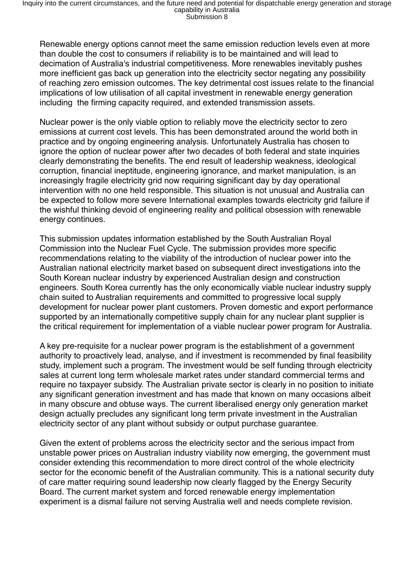Renewable energy options cannot meet the same emission reduction levels even at more than double the cost to consumers if reliability is to be maintained and will lead to decimation of Australia's industrial competitiveness. More renewables inevitably pushes more inefficient gas back up generation into the electricity sector negating any possibility of reaching zero emission outcomes. The key detrimental cost issues relate to the financial implications of low utilisation of all capital investment in renewable energy generation including the firming capacity required, and extended transmission assets.

Nuclear power is the only viable option to reliably move the electricity sector to zero emissions at current cost levels. This has been demonstrated around the world both in practice and by ongoing engineering analysis. Unfortunately Australia has chosen to ignore the option of nuclear power after two decades of both federal and state inquiries clearly demonstrating the benefits. The end result of leadership weakness, ideological corruption, financial ineptitude, engineering ignorance, and market manipulation, is an increasingly fragile electricity grid now requiring significant day by day operational intervention with no one held responsible. This situation is not unusual and Australia can be expected to follow more severe International examples towards electricity grid failure if the wishful thinking devoid of engineering reality and political obsession with renewable energy continues.

This submission updates information established by the South Australian Royal Commission into the Nuclear Fuel Cycle. The submission provides more specific recommendations relating to the viability of the introduction of nuclear power into the Australian national electricity market based on subsequent direct investigations into the South Korean nuclear industry by experienced Australian design and construction engineers. South Korea currently has the only economically viable nuclear industry supply chain suited to Australian requirements and committed to progressive local supply development for nuclear power plant customers. Proven domestic and export performance supported by an internationally competitive supply chain for any nuclear plant supplier is the critical requirement for implementation of a viable nuclear power program for Australia.

A key pre-requisite for a nuclear power program is the establishment of a government authority to proactively lead, analyse, and if investment is recommended by final feasibility study, implement such a program. The investment would be self funding through electricity sales at current long term wholesale market rates under standard commercial terms and require no taxpayer subsidy. The Australian private sector is clearly in no position to initiate any significant generation investment and has made that known on many occasions albeit in many obscure and obtuse ways. The current liberalised energy only generation market design actually precludes any significant long term private investment in the Australian electricity sector of any plant without subsidy or output purchase guarantee.

Given the extent of problems across the electricity sector and the serious impact from unstable power prices on Australian industry viability now emerging, the government must consider extending this recommendation to more direct control of the whole electricity sector for the economic benefit of the Australian community. This is a national security duty of care matter requiring sound leadership now clearly flagged by the Energy Security Board. The current market system and forced renewable energy implementation experiment is a dismal failure not serving Australia well and needs complete revision.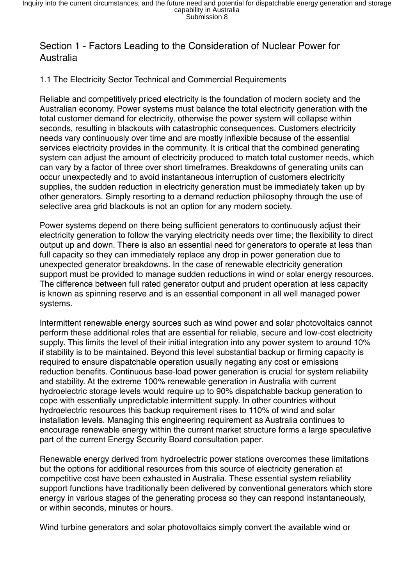# Section 1 - Factors Leading to the Consideration of Nuclear Power for Australia

## 1.1 The Electricity Sector Technical and Commercial Requirements

Reliable and competitively priced electricity is the foundation of modern society and the Australian economy. Power systems must balance the total electricity generation with the total customer demand for electricity, otherwise the power system will collapse within seconds, resulting in blackouts with catastrophic consequences. Customers electricity needs vary continuously over time and are mostly inflexible because of the essential services electricity provides in the community. It is critical that the combined generating system can adjust the amount of electricity produced to match total customer needs, which can vary by a factor of three over short timeframes. Breakdowns of generating units can occur unexpectedly and to avoid instantaneous interruption of customers electricity supplies, the sudden reduction in electricity generation must be immediately taken up by other generators. Simply resorting to a demand reduction philosophy through the use of selective area grid blackouts is not an option for any modern society.

Power systems depend on there being sufficient generators to continuously adjust their electricity generation to follow the varying electricity needs over time; the flexibility to direct output up and down. There is also an essential need for generators to operate at less than full capacity so they can immediately replace any drop in power generation due to unexpected generator breakdowns. In the case of renewable electricity generation support must be provided to manage sudden reductions in wind or solar energy resources. The difference between full rated generator output and prudent operation at less capacity is known as spinning reserve and is an essential component in all well managed power systems.

Intermittent renewable energy sources such as wind power and solar photovoltaics cannot perform these additional roles that are essential for reliable, secure and low-cost electricity supply. This limits the level of their initial integration into any power system to around 10% if stability is to be maintained. Beyond this level substantial backup or firming capacity is required to ensure dispatchable operation usually negating any cost or emissions reduction benefits. Continuous base-load power generation is crucial for system reliability and stability. At the extreme 100% renewable generation in Australia with current hydroelectric storage levels would require up to 90% dispatchable backup generation to cope with essentially unpredictable intermittent supply. In other countries without hydroelectric resources this backup requirement rises to 110% of wind and solar installation levels. Managing this engineering requirement as Australia continues to encourage renewable energy within the current market structure forms a large speculative part of the current Energy Security Board consultation paper.

Renewable energy derived from hydroelectric power stations overcomes these limitations but the options for additional resources from this source of electricity generation at competitive cost have been exhausted in Australia. These essential system reliability support functions have traditionally been delivered by conventional generators which store energy in various stages of the generating process so they can respond instantaneously, or within seconds, minutes or hours.

Wind turbine generators and solar photovoltaics simply convert the available wind or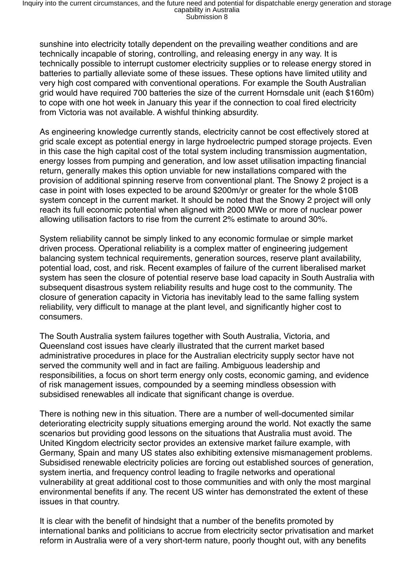sunshine into electricity totally dependent on the prevailing weather conditions and are technically incapable of storing, controlling, and releasing energy in any way. It is technically possible to interrupt customer electricity supplies or to release energy stored in batteries to partially alleviate some of these issues. These options have limited utility and very high cost compared with conventional operations. For example the South Australian grid would have required 700 batteries the size of the current Hornsdale unit (each \$160m) to cope with one hot week in January this year if the connection to coal fired electricity from Victoria was not available. A wishful thinking absurdity.

As engineering knowledge currently stands, electricity cannot be cost effectively stored at grid scale except as potential energy in large hydroelectric pumped storage projects. Even in this case the high capital cost of the total system including transmission augmentation, energy losses from pumping and generation, and low asset utilisation impacting financial return, generally makes this option unviable for new installations compared with the provision of additional spinning reserve from conventional plant. The Snowy 2 project is a case in point with loses expected to be around \$200m/yr or greater for the whole \$10B system concept in the current market. It should be noted that the Snowy 2 project will only reach its full economic potential when aligned with 2000 MWe or more of nuclear power allowing utilisation factors to rise from the current 2% estimate to around 30%.

System reliability cannot be simply linked to any economic formulae or simple market driven process. Operational reliability is a complex matter of engineering judgement balancing system technical requirements, generation sources, reserve plant availability, potential load, cost, and risk. Recent examples of failure of the current liberalised market system has seen the closure of potential reserve base load capacity in South Australia with subsequent disastrous system reliability results and huge cost to the community. The closure of generation capacity in Victoria has inevitably lead to the same falling system reliability, very difficult to manage at the plant level, and significantly higher cost to consumers.

The South Australia system failures together with South Australia, Victoria, and Queensland cost issues have clearly illustrated that the current market based administrative procedures in place for the Australian electricity supply sector have not served the community well and in fact are failing. Ambiguous leadership and responsibilities, a focus on short term energy only costs, economic gaming, and evidence of risk management issues, compounded by a seeming mindless obsession with subsidised renewables all indicate that significant change is overdue.

There is nothing new in this situation. There are a number of well-documented similar deteriorating electricity supply situations emerging around the world. Not exactly the same scenarios but providing good lessons on the situations that Australia must avoid. The United Kingdom electricity sector provides an extensive market failure example, with Germany, Spain and many US states also exhibiting extensive mismanagement problems. Subsidised renewable electricity policies are forcing out established sources of generation, system inertia, and frequency control leading to fragile networks and operational vulnerability at great additional cost to those communities and with only the most marginal environmental benefits if any. The recent US winter has demonstrated the extent of these issues in that country.

It is clear with the benefit of hindsight that a number of the benefits promoted by international banks and politicians to accrue from electricity sector privatisation and market reform in Australia were of a very short-term nature, poorly thought out, with any benefits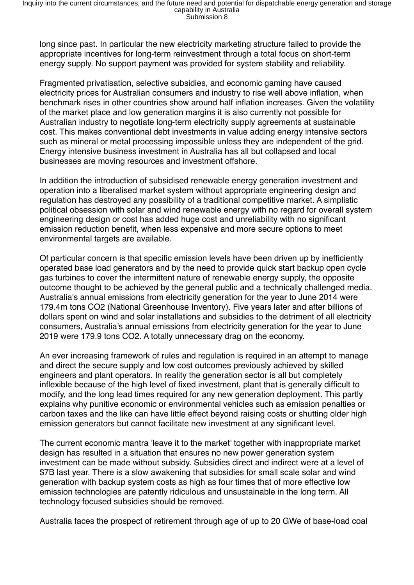long since past. In particular the new electricity marketing structure failed to provide the appropriate incentives for long-term reinvestment through a total focus on short-term energy supply. No support payment was provided for system stability and reliability.

Fragmented privatisation, selective subsidies, and economic gaming have caused electricity prices for Australian consumers and industry to rise well above inflation, when benchmark rises in other countries show around half inflation increases. Given the volatility of the market place and low generation margins it is also currently not possible for Australian industry to negotiate long-term electricity supply agreements at sustainable cost. This makes conventional debt investments in value adding energy intensive sectors such as mineral or metal processing impossible unless they are independent of the grid. Energy intensive business investment in Australia has all but collapsed and local businesses are moving resources and investment offshore.

In addition the introduction of subsidised renewable energy generation investment and operation into a liberalised market system without appropriate engineering design and regulation has destroyed any possibility of a traditional competitive market. A simplistic political obsession with solar and wind renewable energy with no regard for overall system engineering design or cost has added huge cost and unreliability with no significant emission reduction benefit, when less expensive and more secure options to meet environmental targets are available.

Of particular concern is that specific emission levels have been driven up by inefficiently operated base load generators and by the need to provide quick start backup open cycle gas turbines to cover the intermittent nature of renewable energy supply, the opposite outcome thought to be achieved by the general public and a technically challenged media. Australia's annual emissions from electricity generation for the year to June 2014 were 179.4m tons CO2 (National Greenhouse Inventory). Five years later and after billions of dollars spent on wind and solar installations and subsidies to the detriment of all electricity consumers, Australia's annual emissions from electricity generation for the year to June 2019 were 179.9 tons CO2. A totally unnecessary drag on the economy.

An ever increasing framework of rules and regulation is required in an attempt to manage and direct the secure supply and low cost outcomes previously achieved by skilled engineers and plant operators. In reality the generation sector is all but completely inflexible because of the high level of fixed investment, plant that is generally difficult to modify, and the long lead times required for any new generation deployment. This partly explains why punitive economic or environmental vehicles such as emission penalties or carbon taxes and the like can have little effect beyond raising costs or shutting older high emission generators but cannot facilitate new investment at any significant level.

The current economic mantra 'leave it to the market' together with inappropriate market design has resulted in a situation that ensures no new power generation system investment can be made without subsidy. Subsidies direct and indirect were at a level of \$7B last year. There is a slow awakening that subsidies for small scale solar and wind generation with backup system costs as high as four times that of more effective low emission technologies are patently ridiculous and unsustainable in the long term. All technology focused subsidies should be removed.

Australia faces the prospect of retirement through age of up to 20 GWe of base-load coal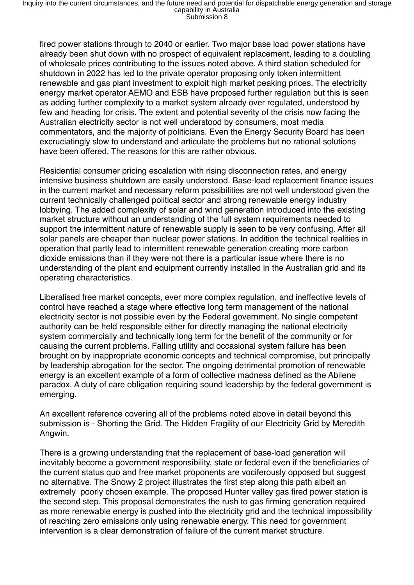fired power stations through to 2040 or earlier. Two major base load power stations have already been shut down with no prospect of equivalent replacement, leading to a doubling of wholesale prices contributing to the issues noted above. A third station scheduled for shutdown in 2022 has led to the private operator proposing only token intermittent renewable and gas plant investment to exploit high market peaking prices. The electricity energy market operator AEMO and ESB have proposed further regulation but this is seen as adding further complexity to a market system already over regulated, understood by few and heading for crisis. The extent and potential severity of the crisis now facing the Australian electricity sector is not well understood by consumers, most media commentators, and the majority of politicians. Even the Energy Security Board has been excruciatingly slow to understand and articulate the problems but no rational solutions have been offered. The reasons for this are rather obvious.

Residential consumer pricing escalation with rising disconnection rates, and energy intensive business shutdown are easily understood. Base-load replacement finance issues in the current market and necessary reform possibilities are not well understood given the current technically challenged political sector and strong renewable energy industry lobbying. The added complexity of solar and wind generation introduced into the existing market structure without an understanding of the full system requirements needed to support the intermittent nature of renewable supply is seen to be very confusing. After all solar panels are cheaper than nuclear power stations. In addition the technical realities in operation that partly lead to intermittent renewable generation creating more carbon dioxide emissions than if they were not there is a particular issue where there is no understanding of the plant and equipment currently installed in the Australian grid and its operating characteristics.

Liberalised free market concepts, ever more complex regulation, and ineffective levels of control have reached a stage where effective long term management of the national electricity sector is not possible even by the Federal government. No single competent authority can be held responsible either for directly managing the national electricity system commercially and technically long term for the benefit of the community or for causing the current problems. Falling utility and occasional system failure has been brought on by inappropriate economic concepts and technical compromise, but principally by leadership abrogation for the sector. The ongoing detrimental promotion of renewable energy is an excellent example of a form of collective madness defined as the Abilene paradox. A duty of care obligation requiring sound leadership by the federal government is emerging.

An excellent reference covering all of the problems noted above in detail beyond this submission is - Shorting the Grid. The Hidden Fragility of our Electricity Grid by Meredith Angwin.

There is a growing understanding that the replacement of base-load generation will inevitably become a government responsibility, state or federal even if the beneficiaries of the current status quo and free market proponents are vociferously opposed but suggest no alternative. The Snowy 2 project illustrates the first step along this path albeit an extremely poorly chosen example. The proposed Hunter valley gas fired power station is the second step. This proposal demonstrates the rush to gas firming generation required as more renewable energy is pushed into the electricity grid and the technical impossibility of reaching zero emissions only using renewable energy. This need for government intervention is a clear demonstration of failure of the current market structure.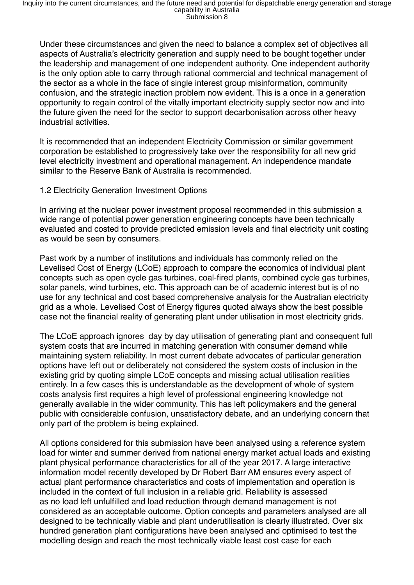Under these circumstances and given the need to balance a complex set of objectives all aspects of Australia's electricity generation and supply need to be bought together under the leadership and management of one independent authority. One independent authority is the only option able to carry through rational commercial and technical management of the sector as a whole in the face of single interest group misinformation, community confusion, and the strategic inaction problem now evident. This is a once in a generation opportunity to regain control of the vitally important electricity supply sector now and into the future given the need for the sector to support decarbonisation across other heavy industrial activities.

It is recommended that an independent Electricity Commission or similar government corporation be established to progressively take over the responsibility for all new grid level electricity investment and operational management. An independence mandate similar to the Reserve Bank of Australia is recommended.

## 1.2 Electricity Generation Investment Options

In arriving at the nuclear power investment proposal recommended in this submission a wide range of potential power generation engineering concepts have been technically evaluated and costed to provide predicted emission levels and final electricity unit costing as would be seen by consumers.

Past work by a number of institutions and individuals has commonly relied on the Levelised Cost of Energy (LCoE) approach to compare the economics of individual plant concepts such as open cycle gas turbines, coal-fired plants, combined cycle gas turbines, solar panels, wind turbines, etc. This approach can be of academic interest but is of no use for any technical and cost based comprehensive analysis for the Australian electricity grid as a whole. Levelised Cost of Energy figures quoted always show the best possible case not the financial reality of generating plant under utilisation in most electricity grids.

The LCoE approach ignores day by day utilisation of generating plant and consequent full system costs that are incurred in matching generation with consumer demand while maintaining system reliability. In most current debate advocates of particular generation options have left out or deliberately not considered the system costs of inclusion in the existing grid by quoting simple LCoE concepts and missing actual utilisation realities entirely. In a few cases this is understandable as the development of whole of system costs analysis first requires a high level of professional engineering knowledge not generally available in the wider community. This has left policymakers and the general public with considerable confusion, unsatisfactory debate, and an underlying concern that only part of the problem is being explained.

All options considered for this submission have been analysed using a reference system load for winter and summer derived from national energy market actual loads and existing plant physical performance characteristics for all of the year 2017. A large interactive information model recently developed by Dr Robert Barr AM ensures every aspect of actual plant performance characteristics and costs of implementation and operation is included in the context of full inclusion in a reliable grid. Reliability is assessed as no load left unfulfilled and load reduction through demand management is not considered as an acceptable outcome. Option concepts and parameters analysed are all designed to be technically viable and plant underutilisation is clearly illustrated. Over six hundred generation plant configurations have been analysed and optimised to test the modelling design and reach the most technically viable least cost case for each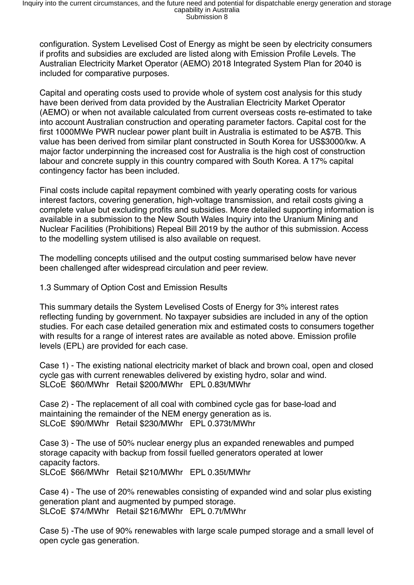configuration. System Levelised Cost of Energy as might be seen by electricity consumers if profits and subsidies are excluded are listed along with Emission Profile Levels. The Australian Electricity Market Operator (AEMO) 2018 Integrated System Plan for 2040 is included for comparative purposes.

Capital and operating costs used to provide whole of system cost analysis for this study have been derived from data provided by the Australian Electricity Market Operator (AEMO) or when not available calculated from current overseas costs re-estimated to take into account Australian construction and operating parameter factors. Capital cost for the first 1000MWe PWR nuclear power plant built in Australia is estimated to be A\$7B. This value has been derived from similar plant constructed in South Korea for US\$3000/kw. A major factor underpinning the increased cost for Australia is the high cost of construction labour and concrete supply in this country compared with South Korea. A 17% capital contingency factor has been included.

Final costs include capital repayment combined with yearly operating costs for various interest factors, covering generation, high-voltage transmission, and retail costs giving a complete value but excluding profits and subsidies. More detailed supporting information is available in a submission to the New South Wales Inquiry into the Uranium Mining and Nuclear Facilities (Prohibitions) Repeal Bill 2019 by the author of this submission. Access to the modelling system utilised is also available on request.

The modelling concepts utilised and the output costing summarised below have never been challenged after widespread circulation and peer review.

1.3 Summary of Option Cost and Emission Results

This summary details the System Levelised Costs of Energy for 3% interest rates reflecting funding by government. No taxpayer subsidies are included in any of the option studies. For each case detailed generation mix and estimated costs to consumers together with results for a range of interest rates are available as noted above. Emission profile levels (EPL) are provided for each case.

Case 1) - The existing national electricity market of black and brown coal, open and closed cycle gas with current renewables delivered by existing hydro, solar and wind. SLCoE \$60/MWhr Retail \$200/MWhr EPL 0.83t/MWhr

Case 2) - The replacement of all coal with combined cycle gas for base-load and maintaining the remainder of the NEM energy generation as is. SLCoE \$90/MWhr Retail \$230/MWhr EPL 0.373t/MWhr

Case 3) - The use of 50% nuclear energy plus an expanded renewables and pumped storage capacity with backup from fossil fuelled generators operated at lower capacity factors. SLCoE \$66/MWhr Retail \$210/MWhr EPL 0.35t/MWhr

Case 4) - The use of 20% renewables consisting of expanded wind and solar plus existing generation plant and augmented by pumped storage. SLCoE \$74/MWhr Retail \$216/MWhr EPL 0.7t/MWhr

Case 5) -The use of 90% renewables with large scale pumped storage and a small level of open cycle gas generation.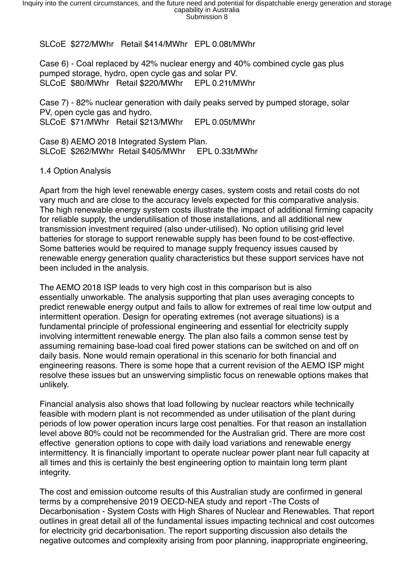SLCoE \$272/MWhr Retail \$414/MWhr EPL 0.08t/MWhr

Case 6) - Coal replaced by 42% nuclear energy and 40% combined cycle gas plus pumped storage, hydro, open cycle gas and solar PV. SLCoE \$80/MWhr Retail \$220/MWhr EPL 0.21t/MWhr

Case 7) - 82% nuclear generation with daily peaks served by pumped storage, solar PV, open cycle gas and hydro. SLCoE \$71/MWhr Retail \$213/MWhr EPL 0.05t/MWhr

Case 8) AEMO 2018 Integrated System Plan. SLCoE \$262/MWhr Retail \$405/MWhr EPL 0.33t/MWhr

#### 1.4 Option Analysis

Apart from the high level renewable energy cases, system costs and retail costs do not vary much and are close to the accuracy levels expected for this comparative analysis. The high renewable energy system costs illustrate the impact of additional firming capacity for reliable supply, the underutilisation of those installations, and all additional new transmission investment required (also under-utilised). No option utilising grid level batteries for storage to support renewable supply has been found to be cost-effective. Some batteries would be required to manage supply frequency issues caused by renewable energy generation quality characteristics but these support services have not been included in the analysis.

The AEMO 2018 ISP leads to very high cost in this comparison but is also essentially unworkable. The analysis supporting that plan uses averaging concepts to predict renewable energy output and fails to allow for extremes of real time low output and intermittent operation. Design for operating extremes (not average situations) is a fundamental principle of professional engineering and essential for electricity supply involving intermittent renewable energy. The plan also fails a common sense test by assuming remaining base-load coal fired power stations can be switched on and off on daily basis. None would remain operational in this scenario for both financial and engineering reasons. There is some hope that a current revision of the AEMO ISP might resolve these issues but an unswerving simplistic focus on renewable options makes that unlikely.

Financial analysis also shows that load following by nuclear reactors while technically feasible with modern plant is not recommended as under utilisation of the plant during periods of low power operation incurs large cost penalties. For that reason an installation level above 80% could not be recommended for the Australian grid. There are more cost effective generation options to cope with daily load variations and renewable energy intermittency. It is financially important to operate nuclear power plant near full capacity at all times and this is certainly the best engineering option to maintain long term plant integrity.

The cost and emission outcome results of this Australian study are confirmed in general terms by a comprehensive 2019 OECD-NEA study and report -The Costs of Decarbonisation - System Costs with High Shares of Nuclear and Renewables. That report outlines in great detail all of the fundamental issues impacting technical and cost outcomes for electricity grid decarbonisation. The report supporting discussion also details the negative outcomes and complexity arising from poor planning, inappropriate engineering,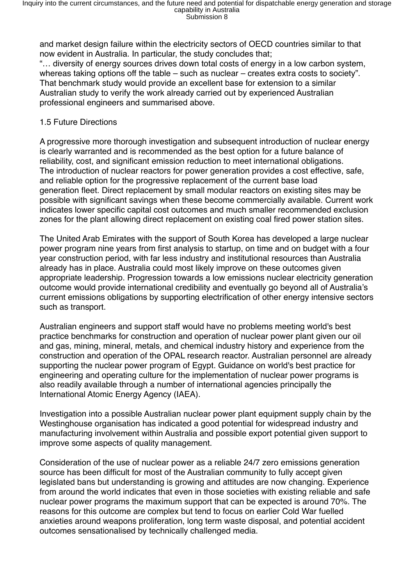and market design failure within the electricity sectors of OECD countries similar to that now evident in Australia. In particular, the study concludes that;

"… diversity of energy sources drives down total costs of energy in a low carbon system, whereas taking options off the table – such as nuclear – creates extra costs to society". That benchmark study would provide an excellent base for extension to a similar Australian study to verify the work already carried out by experienced Australian professional engineers and summarised above.

## 1.5 Future Directions

A progressive more thorough investigation and subsequent introduction of nuclear energy is clearly warranted and is recommended as the best option for a future balance of reliability, cost, and significant emission reduction to meet international obligations. The introduction of nuclear reactors for power generation provides a cost effective, safe, and reliable option for the progressive replacement of the current base load generation fleet. Direct replacement by small modular reactors on existing sites may be possible with significant savings when these become commercially available. Current work indicates lower specific capital cost outcomes and much smaller recommended exclusion zones for the plant allowing direct replacement on existing coal fired power station sites.

The United Arab Emirates with the support of South Korea has developed a large nuclear power program nine years from first analysis to startup, on time and on budget with a four year construction period, with far less industry and institutional resources than Australia already has in place. Australia could most likely improve on these outcomes given appropriate leadership. Progression towards a low emissions nuclear electricity generation outcome would provide international credibility and eventually go beyond all of Australia's current emissions obligations by supporting electrification of other energy intensive sectors such as transport.

Australian engineers and support staff would have no problems meeting world's best practice benchmarks for construction and operation of nuclear power plant given our oil and gas, mining, mineral, metals, and chemical industry history and experience from the construction and operation of the OPAL research reactor. Australian personnel are already supporting the nuclear power program of Egypt. Guidance on world's best practice for engineering and operating culture for the implementation of nuclear power programs is also readily available through a number of international agencies principally the International Atomic Energy Agency (IAEA).

Investigation into a possible Australian nuclear power plant equipment supply chain by the Westinghouse organisation has indicated a good potential for widespread industry and manufacturing involvement within Australia and possible export potential given support to improve some aspects of quality management.

Consideration of the use of nuclear power as a reliable 24/7 zero emissions generation source has been difficult for most of the Australian community to fully accept given legislated bans but understanding is growing and attitudes are now changing. Experience from around the world indicates that even in those societies with existing reliable and safe nuclear power programs the maximum support that can be expected is around 70%. The reasons for this outcome are complex but tend to focus on earlier Cold War fuelled anxieties around weapons proliferation, long term waste disposal, and potential accident outcomes sensationalised by technically challenged media.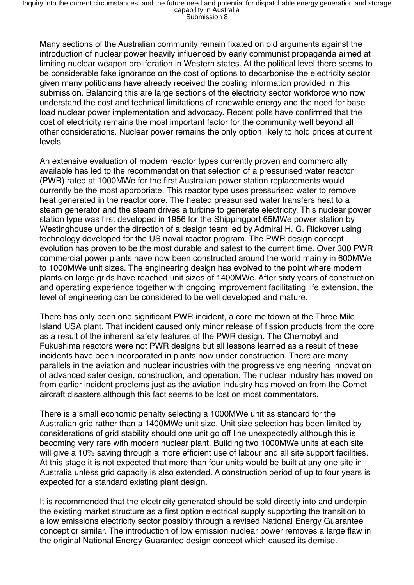Many sections of the Australian community remain fixated on old arguments against the introduction of nuclear power heavily influenced by early communist propaganda aimed at limiting nuclear weapon proliferation in Western states. At the political level there seems to be considerable fake ignorance on the cost of options to decarbonise the electricity sector given many politicians have already received the costing information provided in this submission. Balancing this are large sections of the electricity sector workforce who now understand the cost and technical limitations of renewable energy and the need for base load nuclear power implementation and advocacy. Recent polls have confirmed that the cost of electricity remains the most important factor for the community well beyond all other considerations. Nuclear power remains the only option likely to hold prices at current levels.

An extensive evaluation of modern reactor types currently proven and commercially available has led to the recommendation that selection of a pressurised water reactor (PWR) rated at 1000MWe for the first Australian power station replacements would currently be the most appropriate. This reactor type uses pressurised water to remove heat generated in the reactor core. The heated pressurised water transfers heat to a steam generator and the steam drives a turbine to generate electricity. This nuclear power station type was first developed in 1956 for the Shippingport 65MWe power station by Westinghouse under the direction of a design team led by Admiral H. G. Rickover using technology developed for the US naval reactor program. The PWR design concept evolution has proven to be the most durable and safest to the current time. Over 300 PWR commercial power plants have now been constructed around the world mainly in 600MWe to 1000MWe unit sizes. The engineering design has evolved to the point where modern plants on large grids have reached unit sizes of 1400MWe. After sixty years of construction and operating experience together with ongoing improvement facilitating life extension, the level of engineering can be considered to be well developed and mature.

There has only been one significant PWR incident, a core meltdown at the Three Mile Island USA plant. That incident caused only minor release of fission products from the core as a result of the inherent safety features of the PWR design. The Chernobyl and Fukushima reactors were not PWR designs but all lessons learned as a result of these incidents have been incorporated in plants now under construction. There are many parallels in the aviation and nuclear industries with the progressive engineering innovation of advanced safer design, construction, and operation. The nuclear industry has moved on from earlier incident problems just as the aviation industry has moved on from the Comet aircraft disasters although this fact seems to be lost on most commentators.

There is a small economic penalty selecting a 1000MWe unit as standard for the Australian grid rather than a 1400MWe unit size. Unit size selection has been limited by considerations of grid stability should one unit go off line unexpectedly although this is becoming very rare with modern nuclear plant. Building two 1000MWe units at each site will give a 10% saving through a more efficient use of labour and all site support facilities. At this stage it is not expected that more than four units would be built at any one site in Australia unless grid capacity is also extended. A construction period of up to four years is expected for a standard existing plant design.

It is recommended that the electricity generated should be sold directly into and underpin the existing market structure as a first option electrical supply supporting the transition to a low emissions electricity sector possibly through a revised National Energy Guarantee concept or similar. The introduction of low emission nuclear power removes a large flaw in the original National Energy Guarantee design concept which caused its demise.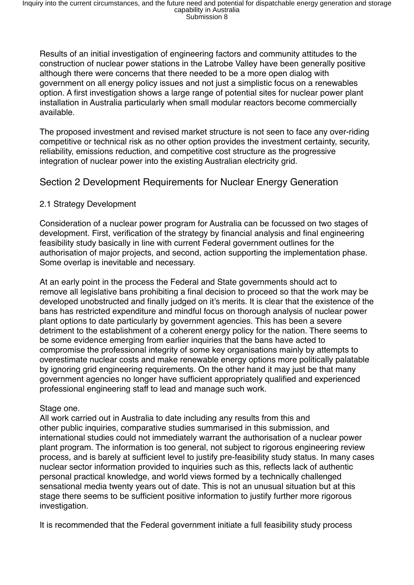Results of an initial investigation of engineering factors and community attitudes to the construction of nuclear power stations in the Latrobe Valley have been generally positive although there were concerns that there needed to be a more open dialog with government on all energy policy issues and not just a simplistic focus on a renewables option. A first investigation shows a large range of potential sites for nuclear power plant installation in Australia particularly when small modular reactors become commercially available.

The proposed investment and revised market structure is not seen to face any over-riding competitive or technical risk as no other option provides the investment certainty, security, reliability, emissions reduction, and competitive cost structure as the progressive integration of nuclear power into the existing Australian electricity grid.

# Section 2 Development Requirements for Nuclear Energy Generation

# 2.1 Strategy Development

Consideration of a nuclear power program for Australia can be focussed on two stages of development. First, verification of the strategy by financial analysis and final engineering feasibility study basically in line with current Federal government outlines for the authorisation of major projects, and second, action supporting the implementation phase. Some overlap is inevitable and necessary.

At an early point in the process the Federal and State governments should act to remove all legislative bans prohibiting a final decision to proceed so that the work may be developed unobstructed and finally judged on it's merits. It is clear that the existence of the bans has restricted expenditure and mindful focus on thorough analysis of nuclear power plant options to date particularly by government agencies. This has been a severe detriment to the establishment of a coherent energy policy for the nation. There seems to be some evidence emerging from earlier inquiries that the bans have acted to compromise the professional integrity of some key organisations mainly by attempts to overestimate nuclear costs and make renewable energy options more politically palatable by ignoring grid engineering requirements. On the other hand it may just be that many government agencies no longer have sufficient appropriately qualified and experienced professional engineering staff to lead and manage such work.

## Stage one.

All work carried out in Australia to date including any results from this and other public inquiries, comparative studies summarised in this submission, and international studies could not immediately warrant the authorisation of a nuclear power plant program. The information is too general, not subject to rigorous engineering review process, and is barely at sufficient level to justify pre-feasibility study status. In many cases nuclear sector information provided to inquiries such as this, reflects lack of authentic personal practical knowledge, and world views formed by a technically challenged sensational media twenty years out of date. This is not an unusual situation but at this stage there seems to be sufficient positive information to justify further more rigorous investigation.

It is recommended that the Federal government initiate a full feasibility study process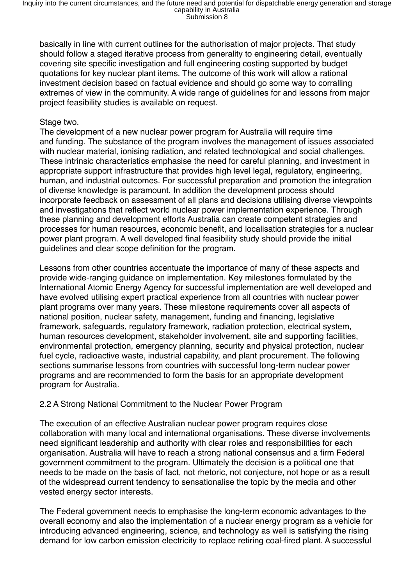Inquiry into the current circumstances, and the future need and potential for dispatchable energy generation and storage<br>capability in Australia<br>Submission 8

basically in line with current outlines for the authorisation of major projects. That study should follow a staged iterative process from generality to engineering detail, eventually covering site specific investigation and full engineering costing supported by budget quotations for key nuclear plant items. The outcome of this work will allow a rational investment decision based on factual evidence and should go some way to corralling extremes of view in the community. A wide range of guidelines for and lessons from major project feasibility studies is available on request.

#### Stage two.

The development of a new nuclear power program for Australia will require time and funding. The substance of the program involves the management of issues associated with nuclear material, ionising radiation, and related technological and social challenges. These intrinsic characteristics emphasise the need for careful planning, and investment in appropriate support infrastructure that provides high level legal, regulatory, engineering, human, and industrial outcomes. For successful preparation and promotion the integration of diverse knowledge is paramount. In addition the development process should incorporate feedback on assessment of all plans and decisions utilising diverse viewpoints and investigations that reflect world nuclear power implementation experience. Through these planning and development efforts Australia can create competent strategies and processes for human resources, economic benefit, and localisation strategies for a nuclear power plant program. A well developed final feasibility study should provide the initial guidelines and clear scope definition for the program.

Lessons from other countries accentuate the importance of many of these aspects and provide wide-ranging guidance on implementation. Key milestones formulated by the International Atomic Energy Agency for successful implementation are well developed and have evolved utilising expert practical experience from all countries with nuclear power plant programs over many years. These milestone requirements cover all aspects of national position, nuclear safety, management, funding and financing, legislative framework, safeguards, regulatory framework, radiation protection, electrical system, human resources development, stakeholder involvement, site and supporting facilities, environmental protection, emergency planning, security and physical protection, nuclear fuel cycle, radioactive waste, industrial capability, and plant procurement. The following sections summarise lessons from countries with successful long-term nuclear power programs and are recommended to form the basis for an appropriate development program for Australia.

#### 2.2 A Strong National Commitment to the Nuclear Power Program

The execution of an effective Australian nuclear power program requires close collaboration with many local and international organisations. These diverse involvements need significant leadership and authority with clear roles and responsibilities for each organisation. Australia will have to reach a strong national consensus and a firm Federal government commitment to the program. Ultimately the decision is a political one that needs to be made on the basis of fact, not rhetoric, not conjecture, not hope or as a result of the widespread current tendency to sensationalise the topic by the media and other vested energy sector interests.

The Federal government needs to emphasise the long-term economic advantages to the overall economy and also the implementation of a nuclear energy program as a vehicle for introducing advanced engineering, science, and technology as well is satisfying the rising demand for low carbon emission electricity to replace retiring coal-fired plant. A successful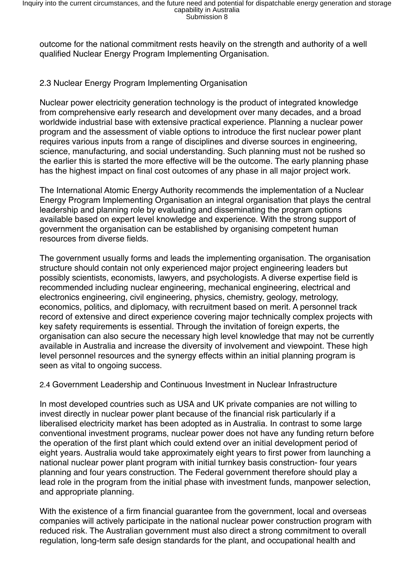outcome for the national commitment rests heavily on the strength and authority of a well qualified Nuclear Energy Program Implementing Organisation.

## 2.3 Nuclear Energy Program Implementing Organisation

Nuclear power electricity generation technology is the product of integrated knowledge from comprehensive early research and development over many decades, and a broad worldwide industrial base with extensive practical experience. Planning a nuclear power program and the assessment of viable options to introduce the first nuclear power plant requires various inputs from a range of disciplines and diverse sources in engineering, science, manufacturing, and social understanding. Such planning must not be rushed so the earlier this is started the more effective will be the outcome. The early planning phase has the highest impact on final cost outcomes of any phase in all major project work.

The International Atomic Energy Authority recommends the implementation of a Nuclear Energy Program Implementing Organisation an integral organisation that plays the central leadership and planning role by evaluating and disseminating the program options available based on expert level knowledge and experience. With the strong support of government the organisation can be established by organising competent human resources from diverse fields.

The government usually forms and leads the implementing organisation. The organisation structure should contain not only experienced major project engineering leaders but possibly scientists, economists, lawyers, and psychologists. A diverse expertise field is recommended including nuclear engineering, mechanical engineering, electrical and electronics engineering, civil engineering, physics, chemistry, geology, metrology, economics, politics, and diplomacy, with recruitment based on merit. A personnel track record of extensive and direct experience covering major technically complex projects with key safety requirements is essential. Through the invitation of foreign experts, the organisation can also secure the necessary high level knowledge that may not be currently available in Australia and increase the diversity of involvement and viewpoint. These high level personnel resources and the synergy effects within an initial planning program is seen as vital to ongoing success.

2.4 Government Leadership and Continuous Investment in Nuclear Infrastructure

In most developed countries such as USA and UK private companies are not willing to invest directly in nuclear power plant because of the financial risk particularly if a liberalised electricity market has been adopted as in Australia. In contrast to some large conventional investment programs, nuclear power does not have any funding return before the operation of the first plant which could extend over an initial development period of eight years. Australia would take approximately eight years to first power from launching a national nuclear power plant program with initial turnkey basis construction- four years planning and four years construction. The Federal government therefore should play a lead role in the program from the initial phase with investment funds, manpower selection, and appropriate planning.

With the existence of a firm financial guarantee from the government, local and overseas companies will actively participate in the national nuclear power construction program with reduced risk. The Australian government must also direct a strong commitment to overall regulation, long-term safe design standards for the plant, and occupational health and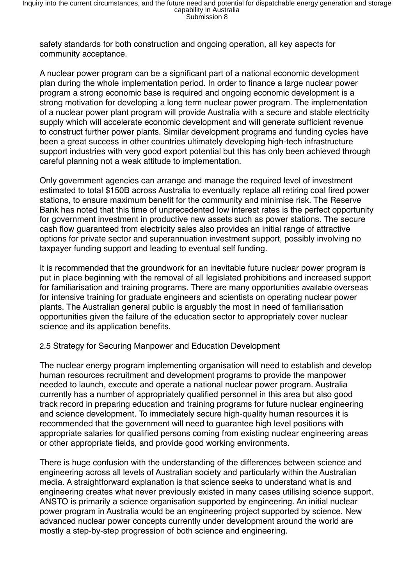safety standards for both construction and ongoing operation, all key aspects for community acceptance.

A nuclear power program can be a significant part of a national economic development plan during the whole implementation period. In order to finance a large nuclear power program a strong economic base is required and ongoing economic development is a strong motivation for developing a long term nuclear power program. The implementation of a nuclear power plant program will provide Australia with a secure and stable electricity supply which will accelerate economic development and will generate sufficient revenue to construct further power plants. Similar development programs and funding cycles have been a great success in other countries ultimately developing high-tech infrastructure support industries with very good export potential but this has only been achieved through careful planning not a weak attitude to implementation.

Only government agencies can arrange and manage the required level of investment estimated to total \$150B across Australia to eventually replace all retiring coal fired power stations, to ensure maximum benefit for the community and minimise risk. The Reserve Bank has noted that this time of unprecedented low interest rates is the perfect opportunity for government investment in productive new assets such as power stations. The secure cash flow guaranteed from electricity sales also provides an initial range of attractive options for private sector and superannuation investment support, possibly involving no taxpayer funding support and leading to eventual self funding.

It is recommended that the groundwork for an inevitable future nuclear power program is put in place beginning with the removal of all legislated prohibitions and increased support for familiarisation and training programs. There are many opportunities available overseas for intensive training for graduate engineers and scientists on operating nuclear power plants. The Australian general public is arguably the most in need of familiarisation opportunities given the failure of the education sector to appropriately cover nuclear science and its application benefits.

#### 2.5 Strategy for Securing Manpower and Education Development

The nuclear energy program implementing organisation will need to establish and develop human resources recruitment and development programs to provide the manpower needed to launch, execute and operate a national nuclear power program. Australia currently has a number of appropriately qualified personnel in this area but also good track record in preparing education and training programs for future nuclear engineering and science development. To immediately secure high-quality human resources it is recommended that the government will need to guarantee high level positions with appropriate salaries for qualified persons coming from existing nuclear engineering areas or other appropriate fields, and provide good working environments.

There is huge confusion with the understanding of the differences between science and engineering across all levels of Australian society and particularly within the Australian media. A straightforward explanation is that science seeks to understand what is and engineering creates what never previously existed in many cases utilising science support. ANSTO is primarily a science organisation supported by engineering. An initial nuclear power program in Australia would be an engineering project supported by science. New advanced nuclear power concepts currently under development around the world are mostly a step-by-step progression of both science and engineering.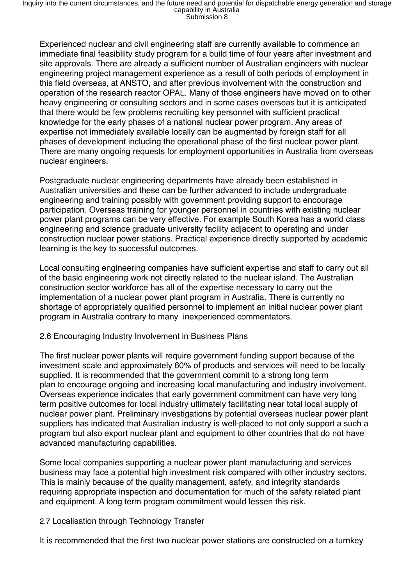Experienced nuclear and civil engineering staff are currently available to commence an immediate final feasibility study program for a build time of four years after investment and site approvals. There are already a sufficient number of Australian engineers with nuclear engineering project management experience as a result of both periods of employment in this field overseas, at ANSTO, and after previous involvement with the construction and operation of the research reactor OPAL. Many of those engineers have moved on to other heavy engineering or consulting sectors and in some cases overseas but it is anticipated that there would be few problems recruiting key personnel with sufficient practical knowledge for the early phases of a national nuclear power program. Any areas of expertise not immediately available locally can be augmented by foreign staff for all phases of development including the operational phase of the first nuclear power plant. There are many ongoing requests for employment opportunities in Australia from overseas nuclear engineers.

Postgraduate nuclear engineering departments have already been established in Australian universities and these can be further advanced to include undergraduate engineering and training possibly with government providing support to encourage participation. Overseas training for younger personnel in countries with existing nuclear power plant programs can be very effective. For example South Korea has a world class engineering and science graduate university facility adjacent to operating and under construction nuclear power stations. Practical experience directly supported by academic learning is the key to successful outcomes.

Local consulting engineering companies have sufficient expertise and staff to carry out all of the basic engineering work not directly related to the nuclear island. The Australian construction sector workforce has all of the expertise necessary to carry out the implementation of a nuclear power plant program in Australia. There is currently no shortage of appropriately qualified personnel to implement an initial nuclear power plant program in Australia contrary to many inexperienced commentators.

#### 2.6 Encouraging Industry Involvement in Business Plans

The first nuclear power plants will require government funding support because of the investment scale and approximately 60% of products and services will need to be locally supplied. It is recommended that the government commit to a strong long term plan to encourage ongoing and increasing local manufacturing and industry involvement. Overseas experience indicates that early government commitment can have very long term positive outcomes for local industry ultimately facilitating near total local supply of nuclear power plant. Preliminary investigations by potential overseas nuclear power plant suppliers has indicated that Australian industry is well-placed to not only support a such a program but also export nuclear plant and equipment to other countries that do not have advanced manufacturing capabilities.

Some local companies supporting a nuclear power plant manufacturing and services business may face a potential high investment risk compared with other industry sectors. This is mainly because of the quality management, safety, and integrity standards requiring appropriate inspection and documentation for much of the safety related plant and equipment. A long term program commitment would lessen this risk.

## 2.7 Localisation through Technology Transfer

It is recommended that the first two nuclear power stations are constructed on a turnkey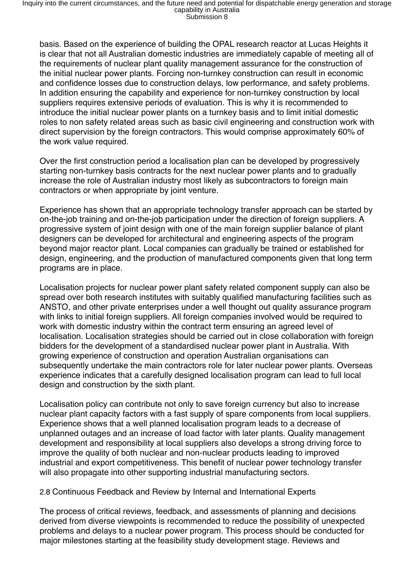basis. Based on the experience of building the OPAL research reactor at Lucas Heights it is clear that not all Australian domestic industries are immediately capable of meeting all of the requirements of nuclear plant quality management assurance for the construction of the initial nuclear power plants. Forcing non-turnkey construction can result in economic and confidence losses due to construction delays, low performance, and safety problems. In addition ensuring the capability and experience for non-turnkey construction by local suppliers requires extensive periods of evaluation. This is why it is recommended to introduce the initial nuclear power plants on a turnkey basis and to limit initial domestic roles to non safety related areas such as basic civil engineering and construction work with direct supervision by the foreign contractors. This would comprise approximately 60% of the work value required.

Over the first construction period a localisation plan can be developed by progressively starting non-turnkey basis contracts for the next nuclear power plants and to gradually increase the role of Australian industry most likely as subcontractors to foreign main contractors or when appropriate by joint venture.

Experience has shown that an appropriate technology transfer approach can be started by on-the-job training and on-the-job participation under the direction of foreign suppliers. A progressive system of joint design with one of the main foreign supplier balance of plant designers can be developed for architectural and engineering aspects of the program beyond major reactor plant. Local companies can gradually be trained or established for design, engineering, and the production of manufactured components given that long term programs are in place.

Localisation projects for nuclear power plant safety related component supply can also be spread over both research institutes with suitably qualified manufacturing facilities such as ANSTO, and other private enterprises under a well thought out quality assurance program with links to initial foreign suppliers. All foreign companies involved would be required to work with domestic industry within the contract term ensuring an agreed level of localisation. Localisation strategies should be carried out in close collaboration with foreign bidders for the development of a standardised nuclear power plant in Australia. With growing experience of construction and operation Australian organisations can subsequently undertake the main contractors role for later nuclear power plants. Overseas experience indicates that a carefully designed localisation program can lead to full local design and construction by the sixth plant.

Localisation policy can contribute not only to save foreign currency but also to increase nuclear plant capacity factors with a fast supply of spare components from local suppliers. Experience shows that a well planned localisation program leads to a decrease of unplanned outages and an increase of load factor with later plants. Quality management development and responsibility at local suppliers also develops a strong driving force to improve the quality of both nuclear and non-nuclear products leading to improved industrial and export competitiveness. This benefit of nuclear power technology transfer will also propagate into other supporting industrial manufacturing sectors.

#### 2.8 Continuous Feedback and Review by Internal and International Experts

The process of critical reviews, feedback, and assessments of planning and decisions derived from diverse viewpoints is recommended to reduce the possibility of unexpected problems and delays to a nuclear power program. This process should be conducted for major milestones starting at the feasibility study development stage. Reviews and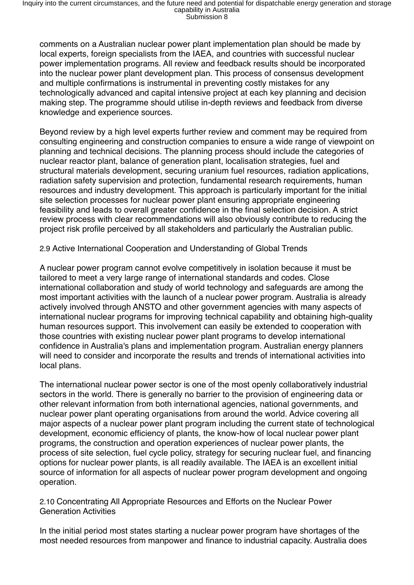comments on a Australian nuclear power plant implementation plan should be made by local experts, foreign specialists from the IAEA, and countries with successful nuclear power implementation programs. All review and feedback results should be incorporated into the nuclear power plant development plan. This process of consensus development and multiple confirmations is instrumental in preventing costly mistakes for any technologically advanced and capital intensive project at each key planning and decision making step. The programme should utilise in-depth reviews and feedback from diverse knowledge and experience sources.

Beyond review by a high level experts further review and comment may be required from consulting engineering and construction companies to ensure a wide range of viewpoint on planning and technical decisions. The planning process should include the categories of nuclear reactor plant, balance of generation plant, localisation strategies, fuel and structural materials development, securing uranium fuel resources, radiation applications, radiation safety supervision and protection, fundamental research requirements, human resources and industry development. This approach is particularly important for the initial site selection processes for nuclear power plant ensuring appropriate engineering feasibility and leads to overall greater confidence in the final selection decision. A strict review process with clear recommendations will also obviously contribute to reducing the project risk profile perceived by all stakeholders and particularly the Australian public.

2.9 Active International Cooperation and Understanding of Global Trends

A nuclear power program cannot evolve competitively in isolation because it must be tailored to meet a very large range of international standards and codes. Close international collaboration and study of world technology and safeguards are among the most important activities with the launch of a nuclear power program. Australia is already actively involved through ANSTO and other government agencies with many aspects of international nuclear programs for improving technical capability and obtaining high-quality human resources support. This involvement can easily be extended to cooperation with those countries with existing nuclear power plant programs to develop international confidence in Australia's plans and implementation program. Australian energy planners will need to consider and incorporate the results and trends of international activities into local plans.

The international nuclear power sector is one of the most openly collaboratively industrial sectors in the world. There is generally no barrier to the provision of engineering data or other relevant information from both international agencies, national governments, and nuclear power plant operating organisations from around the world. Advice covering all major aspects of a nuclear power plant program including the current state of technological development, economic efficiency of plants, the know-how of local nuclear power plant programs, the construction and operation experiences of nuclear power plants, the process of site selection, fuel cycle policy, strategy for securing nuclear fuel, and financing options for nuclear power plants, is all readily available. The IAEA is an excellent initial source of information for all aspects of nuclear power program development and ongoing operation.

2.10 Concentrating All Appropriate Resources and Efforts on the Nuclear Power Generation Activities

In the initial period most states starting a nuclear power program have shortages of the most needed resources from manpower and finance to industrial capacity. Australia does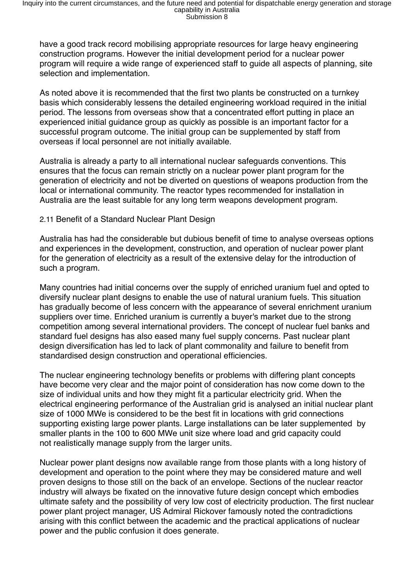have a good track record mobilising appropriate resources for large heavy engineering construction programs. However the initial development period for a nuclear power program will require a wide range of experienced staff to guide all aspects of planning, site selection and implementation.

As noted above it is recommended that the first two plants be constructed on a turnkey basis which considerably lessens the detailed engineering workload required in the initial period. The lessons from overseas show that a concentrated effort putting in place an experienced initial guidance group as quickly as possible is an important factor for a successful program outcome. The initial group can be supplemented by staff from overseas if local personnel are not initially available.

Australia is already a party to all international nuclear safeguards conventions. This ensures that the focus can remain strictly on a nuclear power plant program for the generation of electricity and not be diverted on questions of weapons production from the local or international community. The reactor types recommended for installation in Australia are the least suitable for any long term weapons development program.

#### 2.11 Benefit of a Standard Nuclear Plant Design

Australia has had the considerable but dubious benefit of time to analyse overseas options and experiences in the development, construction, and operation of nuclear power plant for the generation of electricity as a result of the extensive delay for the introduction of such a program.

Many countries had initial concerns over the supply of enriched uranium fuel and opted to diversify nuclear plant designs to enable the use of natural uranium fuels. This situation has gradually become of less concern with the appearance of several enrichment uranium suppliers over time. Enriched uranium is currently a buyer's market due to the strong competition among several international providers. The concept of nuclear fuel banks and standard fuel designs has also eased many fuel supply concerns. Past nuclear plant design diversification has led to lack of plant commonality and failure to benefit from standardised design construction and operational efficiencies.

The nuclear engineering technology benefits or problems with differing plant concepts have become very clear and the major point of consideration has now come down to the size of individual units and how they might fit a particular electricity grid. When the electrical engineering performance of the Australian grid is analysed an initial nuclear plant size of 1000 MWe is considered to be the best fit in locations with grid connections supporting existing large power plants. Large installations can be later supplemented by smaller plants in the 100 to 600 MWe unit size where load and grid capacity could not realistically manage supply from the larger units.

Nuclear power plant designs now available range from those plants with a long history of development and operation to the point where they may be considered mature and well proven designs to those still on the back of an envelope. Sections of the nuclear reactor industry will always be fixated on the innovative future design concept which embodies ultimate safety and the possibility of very low cost of electricity production. The first nuclear power plant project manager, US Admiral Rickover famously noted the contradictions arising with this conflict between the academic and the practical applications of nuclear power and the public confusion it does generate.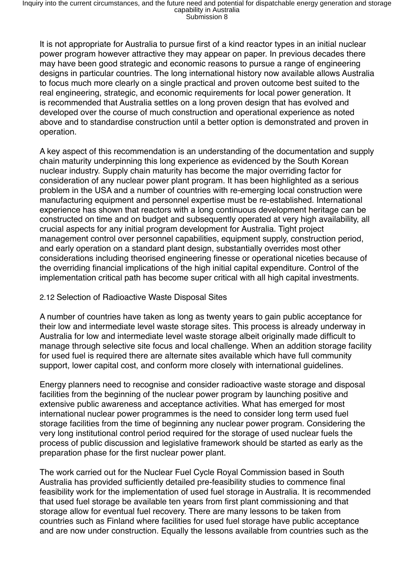It is not appropriate for Australia to pursue first of a kind reactor types in an initial nuclear power program however attractive they may appear on paper. In previous decades there may have been good strategic and economic reasons to pursue a range of engineering designs in particular countries. The long international history now available allows Australia to focus much more clearly on a single practical and proven outcome best suited to the real engineering, strategic, and economic requirements for local power generation. It is recommended that Australia settles on a long proven design that has evolved and developed over the course of much construction and operational experience as noted above and to standardise construction until a better option is demonstrated and proven in operation.

A key aspect of this recommendation is an understanding of the documentation and supply chain maturity underpinning this long experience as evidenced by the South Korean nuclear industry. Supply chain maturity has become the major overriding factor for consideration of any nuclear power plant program. It has been highlighted as a serious problem in the USA and a number of countries with re-emerging local construction were manufacturing equipment and personnel expertise must be re-established. International experience has shown that reactors with a long continuous development heritage can be constructed on time and on budget and subsequently operated at very high availability, all crucial aspects for any initial program development for Australia. Tight project management control over personnel capabilities, equipment supply, construction period, and early operation on a standard plant design, substantially overrides most other considerations including theorised engineering finesse or operational niceties because of the overriding financial implications of the high initial capital expenditure. Control of the implementation critical path has become super critical with all high capital investments.

#### 2.12 Selection of Radioactive Waste Disposal Sites

A number of countries have taken as long as twenty years to gain public acceptance for their low and intermediate level waste storage sites. This process is already underway in Australia for low and intermediate level waste storage albeit originally made difficult to manage through selective site focus and local challenge. When an addition storage facility for used fuel is required there are alternate sites available which have full community support, lower capital cost, and conform more closely with international guidelines.

Energy planners need to recognise and consider radioactive waste storage and disposal facilities from the beginning of the nuclear power program by launching positive and extensive public awareness and acceptance activities. What has emerged for most international nuclear power programmes is the need to consider long term used fuel storage facilities from the time of beginning any nuclear power program. Considering the very long institutional control period required for the storage of used nuclear fuels the process of public discussion and legislative framework should be started as early as the preparation phase for the first nuclear power plant.

The work carried out for the Nuclear Fuel Cycle Royal Commission based in South Australia has provided sufficiently detailed pre-feasibility studies to commence final feasibility work for the implementation of used fuel storage in Australia. It is recommended that used fuel storage be available ten years from first plant commissioning and that storage allow for eventual fuel recovery. There are many lessons to be taken from countries such as Finland where facilities for used fuel storage have public acceptance and are now under construction. Equally the lessons available from countries such as the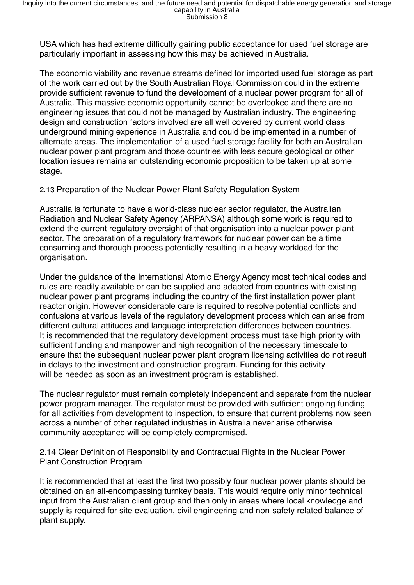USA which has had extreme difficulty gaining public acceptance for used fuel storage are particularly important in assessing how this may be achieved in Australia.

The economic viability and revenue streams defined for imported used fuel storage as part of the work carried out by the South Australian Royal Commission could in the extreme provide sufficient revenue to fund the development of a nuclear power program for all of Australia. This massive economic opportunity cannot be overlooked and there are no engineering issues that could not be managed by Australian industry. The engineering design and construction factors involved are all well covered by current world class underground mining experience in Australia and could be implemented in a number of alternate areas. The implementation of a used fuel storage facility for both an Australian nuclear power plant program and those countries with less secure geological or other location issues remains an outstanding economic proposition to be taken up at some stage.

2.13 Preparation of the Nuclear Power Plant Safety Regulation System

Australia is fortunate to have a world-class nuclear sector regulator, the Australian Radiation and Nuclear Safety Agency (ARPANSA) although some work is required to extend the current regulatory oversight of that organisation into a nuclear power plant sector. The preparation of a regulatory framework for nuclear power can be a time consuming and thorough process potentially resulting in a heavy workload for the organisation.

Under the guidance of the International Atomic Energy Agency most technical codes and rules are readily available or can be supplied and adapted from countries with existing nuclear power plant programs including the country of the first installation power plant reactor origin. However considerable care is required to resolve potential conflicts and confusions at various levels of the regulatory development process which can arise from different cultural attitudes and language interpretation differences between countries. It is recommended that the regulatory development process must take high priority with sufficient funding and manpower and high recognition of the necessary timescale to ensure that the subsequent nuclear power plant program licensing activities do not result in delays to the investment and construction program. Funding for this activity will be needed as soon as an investment program is established.

The nuclear regulator must remain completely independent and separate from the nuclear power program manager. The regulator must be provided with sufficient ongoing funding for all activities from development to inspection, to ensure that current problems now seen across a number of other regulated industries in Australia never arise otherwise community acceptance will be completely compromised.

2.14 Clear Definition of Responsibility and Contractual Rights in the Nuclear Power Plant Construction Program

It is recommended that at least the first two possibly four nuclear power plants should be obtained on an all-encompassing turnkey basis. This would require only minor technical input from the Australian client group and then only in areas where local knowledge and supply is required for site evaluation, civil engineering and non-safety related balance of plant supply.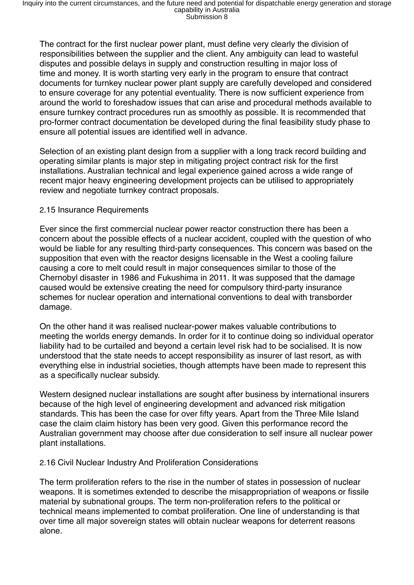The contract for the first nuclear power plant, must define very clearly the division of responsibilities between the supplier and the client. Any ambiguity can lead to wasteful disputes and possible delays in supply and construction resulting in major loss of time and money. It is worth starting very early in the program to ensure that contract documents for turnkey nuclear power plant supply are carefully developed and considered to ensure coverage for any potential eventuality. There is now sufficient experience from around the world to foreshadow issues that can arise and procedural methods available to ensure turnkey contract procedures run as smoothly as possible. It is recommended that pro-former contract documentation be developed during the final feasibility study phase to ensure all potential issues are identified well in advance.

Selection of an existing plant design from a supplier with a long track record building and operating similar plants is major step in mitigating project contract risk for the first installations. Australian technical and legal experience gained across a wide range of recent major heavy engineering development projects can be utilised to appropriately review and negotiate turnkey contract proposals.

## 2.15 Insurance Requirements

Ever since the first commercial nuclear power reactor construction there has been a concern about the possible effects of a nuclear accident, coupled with the question of who would be liable for any resulting third-party consequences. This concern was based on the supposition that even with the reactor designs licensable in the West a cooling failure causing a core to melt could result in major consequences similar to those of the Chernobyl disaster in 1986 and Fukushima in 2011. It was supposed that the damage caused would be extensive creating the need for compulsory third-party insurance schemes for nuclear operation and international conventions to deal with transborder damage.

On the other hand it was realised nuclear-power makes valuable contributions to meeting the worlds energy demands. In order for it to continue doing so individual operator liability had to be curtailed and beyond a certain level risk had to be socialised. It is now understood that the state needs to accept responsibility as insurer of last resort, as with everything else in industrial societies, though attempts have been made to represent this as a specifically nuclear subsidy.

Western designed nuclear installations are sought after business by international insurers because of the high level of engineering development and advanced risk mitigation standards. This has been the case for over fifty years. Apart from the Three Mile Island case the claim claim history has been very good. Given this performance record the Australian government may choose after due consideration to self insure all nuclear power plant installations.

#### 2.16 Civil Nuclear Industry And Proliferation Considerations

The term proliferation refers to the rise in the number of states in possession of nuclear weapons. It is sometimes extended to describe the misappropriation of weapons or fissile material by subnational groups. The term non-proliferation refers to the political or technical means implemented to combat proliferation. One line of understanding is that over time all major sovereign states will obtain nuclear weapons for deterrent reasons alone.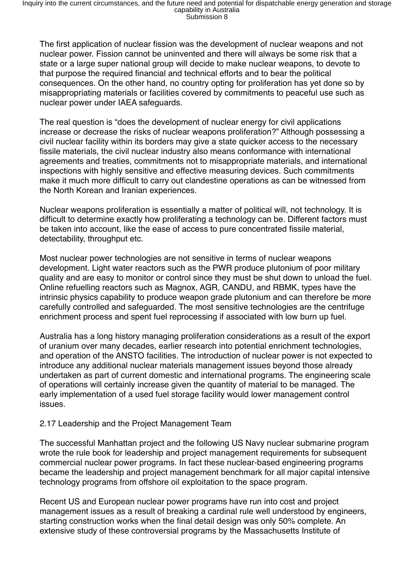The first application of nuclear fission was the development of nuclear weapons and not nuclear power. Fission cannot be uninvented and there will always be some risk that a state or a large super national group will decide to make nuclear weapons, to devote to that purpose the required financial and technical efforts and to bear the political consequences. On the other hand, no country opting for proliferation has yet done so by misappropriating materials or facilities covered by commitments to peaceful use such as nuclear power under IAEA safeguards.

The real question is "does the development of nuclear energy for civil applications increase or decrease the risks of nuclear weapons proliferation?" Although possessing a civil nuclear facility within its borders may give a state quicker access to the necessary fissile materials, the civil nuclear industry also means conformance with international agreements and treaties, commitments not to misappropriate materials, and international inspections with highly sensitive and effective measuring devices. Such commitments make it much more difficult to carry out clandestine operations as can be witnessed from the North Korean and Iranian experiences.

Nuclear weapons proliferation is essentially a matter of political will, not technology. It is difficult to determine exactly how proliferating a technology can be. Different factors must be taken into account, like the ease of access to pure concentrated fissile material, detectability, throughput etc.

Most nuclear power technologies are not sensitive in terms of nuclear weapons development. Light water reactors such as the PWR produce plutonium of poor military quality and are easy to monitor or control since they must be shut down to unload the fuel. Online refuelling reactors such as Magnox, AGR, CANDU, and RBMK, types have the intrinsic physics capability to produce weapon grade plutonium and can therefore be more carefully controlled and safeguarded. The most sensitive technologies are the centrifuge enrichment process and spent fuel reprocessing if associated with low burn up fuel.

Australia has a long history managing proliferation considerations as a result of the export of uranium over many decades, earlier research into potential enrichment technologies, and operation of the ANSTO facilities. The introduction of nuclear power is not expected to introduce any additional nuclear materials management issues beyond those already undertaken as part of current domestic and international programs. The engineering scale of operations will certainly increase given the quantity of material to be managed. The early implementation of a used fuel storage facility would lower management control issues.

#### 2.17 Leadership and the Project Management Team

The successful Manhattan project and the following US Navy nuclear submarine program wrote the rule book for leadership and project management requirements for subsequent commercial nuclear power programs. In fact these nuclear-based engineering programs became the leadership and project management benchmark for all major capital intensive technology programs from offshore oil exploitation to the space program.

Recent US and European nuclear power programs have run into cost and project management issues as a result of breaking a cardinal rule well understood by engineers, starting construction works when the final detail design was only 50% complete. An extensive study of these controversial programs by the Massachusetts Institute of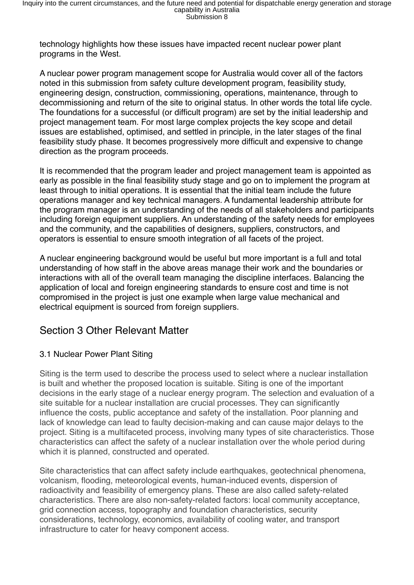technology highlights how these issues have impacted recent nuclear power plant programs in the West.

A nuclear power program management scope for Australia would cover all of the factors noted in this submission from safety culture development program, feasibility study, engineering design, construction, commissioning, operations, maintenance, through to decommissioning and return of the site to original status. In other words the total life cycle. The foundations for a successful (or difficult program) are set by the initial leadership and project management team. For most large complex projects the key scope and detail issues are established, optimised, and settled in principle, in the later stages of the final feasibility study phase. It becomes progressively more difficult and expensive to change direction as the program proceeds.

It is recommended that the program leader and project management team is appointed as early as possible in the final feasibility study stage and go on to implement the program at least through to initial operations. It is essential that the initial team include the future operations manager and key technical managers. A fundamental leadership attribute for the program manager is an understanding of the needs of all stakeholders and participants including foreign equipment suppliers. An understanding of the safety needs for employees and the community, and the capabilities of designers, suppliers, constructors, and operators is essential to ensure smooth integration of all facets of the project.

A nuclear engineering background would be useful but more important is a full and total understanding of how staff in the above areas manage their work and the boundaries or interactions with all of the overall team managing the discipline interfaces. Balancing the application of local and foreign engineering standards to ensure cost and time is not compromised in the project is just one example when large value mechanical and electrical equipment is sourced from foreign suppliers.

# Section 3 Other Relevant Matter

## 3.1 Nuclear Power Plant Siting

Siting is the term used to describe the process used to select where a nuclear installation is built and whether the proposed location is suitable. Siting is one of the important decisions in the early stage of a nuclear energy program. The selection and evaluation of a site suitable for a nuclear installation are crucial processes. They can significantly influence the costs, public acceptance and safety of the installation. Poor planning and lack of knowledge can lead to faulty decision-making and can cause major delays to the project. Siting is a multifaceted process, involving many types of site characteristics. Those characteristics can affect the safety of a nuclear installation over the whole period during which it is planned, constructed and operated.

Site characteristics that can affect safety include earthquakes, geotechnical phenomena, volcanism, flooding, meteorological events, human-induced events, dispersion of radioactivity and feasibility of emergency plans. These are also called safety-related characteristics. There are also non-safety-related factors: local community acceptance, grid connection access, topography and foundation characteristics, security considerations, technology, economics, availability of cooling water, and transport infrastructure to cater for heavy component access.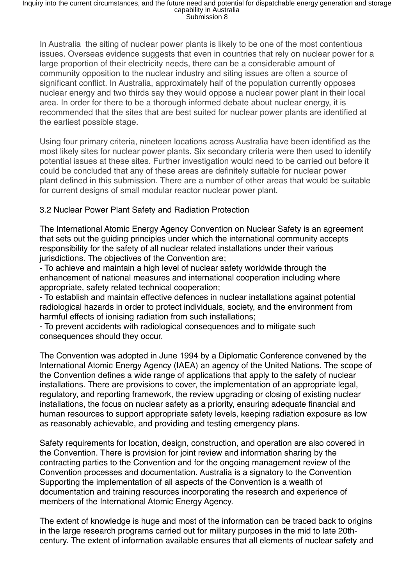In Australia the siting of nuclear power plants is likely to be one of the most contentious issues. Overseas evidence suggests that even in countries that rely on nuclear power for a large proportion of their electricity needs, there can be a considerable amount of community opposition to the nuclear industry and siting issues are often a source of significant conflict. In Australia, approximately half of the population currently opposes nuclear energy and two thirds say they would oppose a nuclear power plant in their local area. In order for there to be a thorough informed debate about nuclear energy, it is recommended that the sites that are best suited for nuclear power plants are identified at the earliest possible stage.

Using four primary criteria, nineteen locations across Australia have been identified as the most likely sites for nuclear power plants. Six secondary criteria were then used to identify potential issues at these sites. Further investigation would need to be carried out before it could be concluded that any of these areas are definitely suitable for nuclear power plant defined in this submission. There are a number of other areas that would be suitable for current designs of small modular reactor nuclear power plant.

## 3.2 Nuclear Power Plant Safety and Radiation Protection

The International Atomic Energy Agency Convention on Nuclear Safety is an agreement that sets out the guiding principles under which the international community accepts responsibility for the safety of all nuclear related installations under their various jurisdictions. The objectives of the Convention are:

- To achieve and maintain a high level of nuclear safety worldwide through the enhancement of national measures and international cooperation including where appropriate, safety related technical cooperation;

- To establish and maintain effective defences in nuclear installations against potential radiological hazards in order to protect individuals, society, and the environment from harmful effects of ionising radiation from such installations:

- To prevent accidents with radiological consequences and to mitigate such consequences should they occur.

The Convention was adopted in June 1994 by a Diplomatic Conference convened by the International Atomic Energy Agency (IAEA) an agency of the United Nations. The scope of the Convention defines a wide range of applications that apply to the safety of nuclear installations. There are provisions to cover, the implementation of an appropriate legal, regulatory, and reporting framework, the review upgrading or closing of existing nuclear installations, the focus on nuclear safety as a priority, ensuring adequate financial and human resources to support appropriate safety levels, keeping radiation exposure as low as reasonably achievable, and providing and testing emergency plans.

Safety requirements for location, design, construction, and operation are also covered in the Convention. There is provision for joint review and information sharing by the contracting parties to the Convention and for the ongoing management review of the Convention processes and documentation. Australia is a signatory to the Convention Supporting the implementation of all aspects of the Convention is a wealth of documentation and training resources incorporating the research and experience of members of the International Atomic Energy Agency.

The extent of knowledge is huge and most of the information can be traced back to origins in the large research programs carried out for military purposes in the mid to late 20thcentury. The extent of information available ensures that all elements of nuclear safety and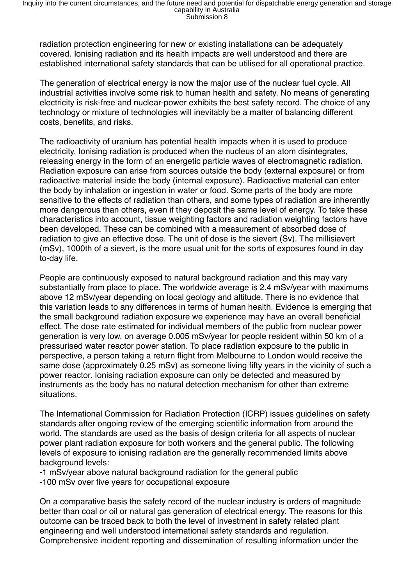radiation protection engineering for new or existing installations can be adequately covered. Ionising radiation and its health impacts are well understood and there are established international safety standards that can be utilised for all operational practice.

The generation of electrical energy is now the major use of the nuclear fuel cycle. All industrial activities involve some risk to human health and safety. No means of generating electricity is risk-free and nuclear-power exhibits the best safety record. The choice of any technology or mixture of technologies will inevitably be a matter of balancing different costs, benefits, and risks.

The radioactivity of uranium has potential health impacts when it is used to produce electricity. Ionising radiation is produced when the nucleus of an atom disintegrates, releasing energy in the form of an energetic particle waves of electromagnetic radiation. Radiation exposure can arise from sources outside the body (external exposure) or from radioactive material inside the body (internal exposure). Radioactive material can enter the body by inhalation or ingestion in water or food. Some parts of the body are more sensitive to the effects of radiation than others, and some types of radiation are inherently more dangerous than others, even if they deposit the same level of energy. To take these characteristics into account, tissue weighting factors and radiation weighting factors have been developed. These can be combined with a measurement of absorbed dose of radiation to give an effective dose. The unit of dose is the sievert (Sv). The millisievert (mSv), 1000th of a sievert, is the more usual unit for the sorts of exposures found in day to-day life.

People are continuously exposed to natural background radiation and this may vary substantially from place to place. The worldwide average is 2.4 mSv/year with maximums above 12 mSv/year depending on local geology and altitude. There is no evidence that this variation leads to any differences in terms of human health. Evidence is emerging that the small background radiation exposure we experience may have an overall beneficial effect. The dose rate estimated for individual members of the public from nuclear power generation is very low, on average 0.005 mSv/year for people resident within 50 km of a pressurised water reactor power station. To place radiation exposure to the public in perspective, a person taking a return flight from Melbourne to London would receive the same dose (approximately 0.25 mSv) as someone living fifty years in the vicinity of such a power reactor. Ionising radiation exposure can only be detected and measured by instruments as the body has no natural detection mechanism for other than extreme situations.

The International Commission for Radiation Protection (ICRP) issues guidelines on safety standards after ongoing review of the emerging scientific information from around the world. The standards are used as the basis of design criteria for all aspects of nuclear power plant radiation exposure for both workers and the general public. The following levels of exposure to ionising radiation are the generally recommended limits above background levels:

- -1 mSv/year above natural background radiation for the general public
- -100 mSv over five years for occupational exposure

On a comparative basis the safety record of the nuclear industry is orders of magnitude better than coal or oil or natural gas generation of electrical energy. The reasons for this outcome can be traced back to both the level of investment in safety related plant engineering and well understood international safety standards and regulation. Comprehensive incident reporting and dissemination of resulting information under the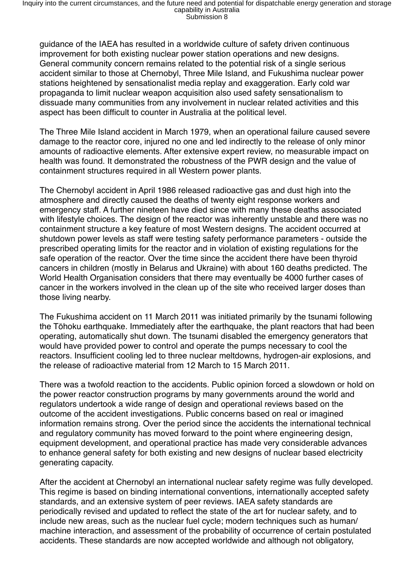guidance of the IAEA has resulted in a worldwide culture of safety driven continuous improvement for both existing nuclear power station operations and new designs. General community concern remains related to the potential risk of a single serious accident similar to those at Chernobyl, Three Mile Island, and Fukushima nuclear power stations heightened by sensationalist media replay and exaggeration. Early cold war propaganda to limit nuclear weapon acquisition also used safety sensationalism to dissuade many communities from any involvement in nuclear related activities and this aspect has been difficult to counter in Australia at the political level.

The Three Mile Island accident in March 1979, when an operational failure caused severe damage to the reactor core, injured no one and led indirectly to the release of only minor amounts of radioactive elements. After extensive expert review, no measurable impact on health was found. It demonstrated the robustness of the PWR design and the value of containment structures required in all Western power plants.

The Chernobyl accident in April 1986 released radioactive gas and dust high into the atmosphere and directly caused the deaths of twenty eight response workers and emergency staff. A further nineteen have died since with many these deaths associated with lifestyle choices. The design of the reactor was inherently unstable and there was no containment structure a key feature of most Western designs. The accident occurred at shutdown power levels as staff were testing safety performance parameters - outside the prescribed operating limits for the reactor and in violation of existing regulations for the safe operation of the reactor. Over the time since the accident there have been thyroid cancers in children (mostly in Belarus and Ukraine) with about 160 deaths predicted. The World Health Organisation considers that there may eventually be 4000 further cases of cancer in the workers involved in the clean up of the site who received larger doses than those living nearby.

The Fukushima accident on 11 March 2011 was initiated primarily by the tsunami following the Tōhoku earthquake. Immediately after the earthquake, the plant reactors that had been operating, automatically shut down. The tsunami disabled the emergency generators that would have provided power to control and operate the pumps necessary to cool the reactors. Insufficient cooling led to three nuclear meltdowns, hydrogen-air explosions, and the release of radioactive material from 12 March to 15 March 2011.

There was a twofold reaction to the accidents. Public opinion forced a slowdown or hold on the power reactor construction programs by many governments around the world and regulators undertook a wide range of design and operational reviews based on the outcome of the accident investigations. Public concerns based on real or imagined information remains strong. Over the period since the accidents the international technical and regulatory community has moved forward to the point where engineering design, equipment development, and operational practice has made very considerable advances to enhance general safety for both existing and new designs of nuclear based electricity generating capacity.

After the accident at Chernobyl an international nuclear safety regime was fully developed. This regime is based on binding international conventions, internationally accepted safety standards, and an extensive system of peer reviews. IAEA safety standards are periodically revised and updated to reflect the state of the art for nuclear safety, and to include new areas, such as the nuclear fuel cycle; modern techniques such as human/ machine interaction, and assessment of the probability of occurrence of certain postulated accidents. These standards are now accepted worldwide and although not obligatory,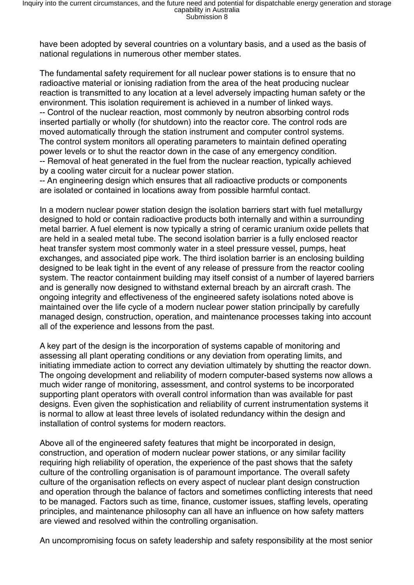have been adopted by several countries on a voluntary basis, and a used as the basis of national regulations in numerous other member states.

The fundamental safety requirement for all nuclear power stations is to ensure that no radioactive material or ionising radiation from the area of the heat producing nuclear reaction is transmitted to any location at a level adversely impacting human safety or the environment. This isolation requirement is achieved in a number of linked ways. -- Control of the nuclear reaction, most commonly by neutron absorbing control rods inserted partially or wholly (for shutdown) into the reactor core. The control rods are moved automatically through the station instrument and computer control systems. The control system monitors all operating parameters to maintain defined operating power levels or to shut the reactor down in the case of any emergency condition. -- Removal of heat generated in the fuel from the nuclear reaction, typically achieved by a cooling water circuit for a nuclear power station.

-- An engineering design which ensures that all radioactive products or components are isolated or contained in locations away from possible harmful contact.

In a modern nuclear power station design the isolation barriers start with fuel metallurgy designed to hold or contain radioactive products both internally and within a surrounding metal barrier. A fuel element is now typically a string of ceramic uranium oxide pellets that are held in a sealed metal tube. The second isolation barrier is a fully enclosed reactor heat transfer system most commonly water in a steel pressure vessel, pumps, heat exchanges, and associated pipe work. The third isolation barrier is an enclosing building designed to be leak tight in the event of any release of pressure from the reactor cooling system. The reactor containment building may itself consist of a number of layered barriers and is generally now designed to withstand external breach by an aircraft crash. The ongoing integrity and effectiveness of the engineered safety isolations noted above is maintained over the life cycle of a modern nuclear power station principally by carefully managed design, construction, operation, and maintenance processes taking into account all of the experience and lessons from the past.

A key part of the design is the incorporation of systems capable of monitoring and assessing all plant operating conditions or any deviation from operating limits, and initiating immediate action to correct any deviation ultimately by shutting the reactor down. The ongoing development and reliability of modern computer-based systems now allows a much wider range of monitoring, assessment, and control systems to be incorporated supporting plant operators with overall control information than was available for past designs. Even given the sophistication and reliability of current instrumentation systems it is normal to allow at least three levels of isolated redundancy within the design and installation of control systems for modern reactors.

Above all of the engineered safety features that might be incorporated in design, construction, and operation of modern nuclear power stations, or any similar facility requiring high reliability of operation, the experience of the past shows that the safety culture of the controlling organisation is of paramount importance. The overall safety culture of the organisation reflects on every aspect of nuclear plant design construction and operation through the balance of factors and sometimes conflicting interests that need to be managed. Factors such as time, finance, customer issues, staffing levels, operating principles, and maintenance philosophy can all have an influence on how safety matters are viewed and resolved within the controlling organisation.

An uncompromising focus on safety leadership and safety responsibility at the most senior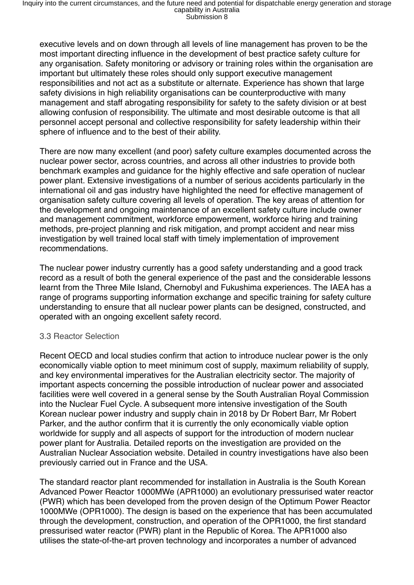executive levels and on down through all levels of line management has proven to be the most important directing influence in the development of best practice safety culture for any organisation. Safety monitoring or advisory or training roles within the organisation are important but ultimately these roles should only support executive management responsibilities and not act as a substitute or alternate. Experience has shown that large safety divisions in high reliability organisations can be counterproductive with many management and staff abrogating responsibility for safety to the safety division or at best allowing confusion of responsibility. The ultimate and most desirable outcome is that all personnel accept personal and collective responsibility for safety leadership within their sphere of influence and to the best of their ability.

There are now many excellent (and poor) safety culture examples documented across the nuclear power sector, across countries, and across all other industries to provide both benchmark examples and guidance for the highly effective and safe operation of nuclear power plant. Extensive investigations of a number of serious accidents particularly in the international oil and gas industry have highlighted the need for effective management of organisation safety culture covering all levels of operation. The key areas of attention for the development and ongoing maintenance of an excellent safety culture include owner and management commitment, workforce empowerment, workforce hiring and training methods, pre-project planning and risk mitigation, and prompt accident and near miss investigation by well trained local staff with timely implementation of improvement recommendations.

The nuclear power industry currently has a good safety understanding and a good track record as a result of both the general experience of the past and the considerable lessons learnt from the Three Mile Island, Chernobyl and Fukushima experiences. The IAEA has a range of programs supporting information exchange and specific training for safety culture understanding to ensure that all nuclear power plants can be designed, constructed, and operated with an ongoing excellent safety record.

#### 3.3 Reactor Selection

Recent OECD and local studies confirm that action to introduce nuclear power is the only economically viable option to meet minimum cost of supply, maximum reliability of supply, and key environmental imperatives for the Australian electricity sector. The majority of important aspects concerning the possible introduction of nuclear power and associated facilities were well covered in a general sense by the South Australian Royal Commission into the Nuclear Fuel Cycle. A subsequent more intensive investigation of the South Korean nuclear power industry and supply chain in 2018 by Dr Robert Barr, Mr Robert Parker, and the author confirm that it is currently the only economically viable option worldwide for supply and all aspects of support for the introduction of modern nuclear power plant for Australia. Detailed reports on the investigation are provided on the Australian Nuclear Association website. Detailed in country investigations have also been previously carried out in France and the USA.

The standard reactor plant recommended for installation in Australia is the South Korean Advanced Power Reactor 1000MWe (APR1000) an evolutionary pressurised water reactor (PWR) which has been developed from the proven design of the Optimum Power Reactor 1000MWe (OPR1000). The design is based on the experience that has been accumulated through the development, construction, and operation of the OPR1000, the first standard pressurised water reactor (PWR) plant in the Republic of Korea. The APR1000 also utilises the state-of-the-art proven technology and incorporates a number of advanced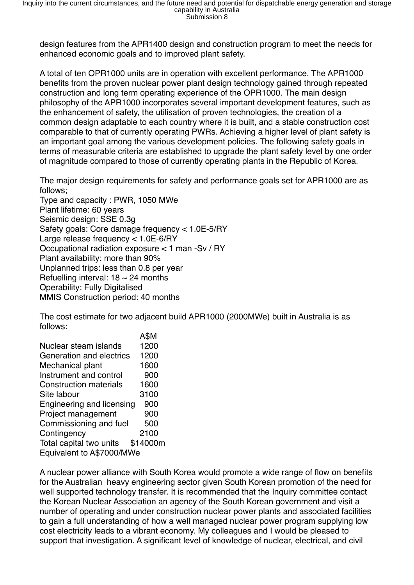design features from the APR1400 design and construction program to meet the needs for enhanced economic goals and to improved plant safety.

A total of ten OPR1000 units are in operation with excellent performance. The APR1000 benefits from the proven nuclear power plant design technology gained through repeated construction and long term operating experience of the OPR1000. The main design philosophy of the APR1000 incorporates several important development features, such as the enhancement of safety, the utilisation of proven technologies, the creation of a common design adaptable to each country where it is built, and a stable construction cost comparable to that of currently operating PWRs. Achieving a higher level of plant safety is an important goal among the various development policies. The following safety goals in terms of measurable criteria are established to upgrade the plant safety level by one order of magnitude compared to those of currently operating plants in the Republic of Korea.

The major design requirements for safety and performance goals set for APR1000 are as follows;

Type and capacity : PWR, 1050 MWe Plant lifetime: 60 years Seismic design: SSE 0.3g Safety goals: Core damage frequency < 1.0E-5/RY Large release frequency < 1.0E-6/RY Occupational radiation exposure < 1 man -Sv / RY Plant availability: more than 90% Unplanned trips: less than 0.8 per year Refuelling interval:  $18 \sim 24$  months Operability: Fully Digitalised MMIS Construction period: 40 months

The cost estimate for two adjacent build APR1000 (2000MWe) built in Australia is as follows:

 A\$M Nuclear steam islands 1200 Generation and electrics 1200 Mechanical plant 1600 Instrument and control 900 Construction materials 1600 Site labour 3100 Engineering and licensing 900 Project management 900 Commissioning and fuel 500 Contingency 2100 Total capital two units \$14000m Equivalent to A\$7000/MWe

A nuclear power alliance with South Korea would promote a wide range of flow on benefits for the Australian heavy engineering sector given South Korean promotion of the need for well supported technology transfer. It is recommended that the Inquiry committee contact the Korean Nuclear Association an agency of the South Korean government and visit a number of operating and under construction nuclear power plants and associated facilities to gain a full understanding of how a well managed nuclear power program supplying low cost electricity leads to a vibrant economy. My colleagues and I would be pleased to support that investigation. A significant level of knowledge of nuclear, electrical, and civil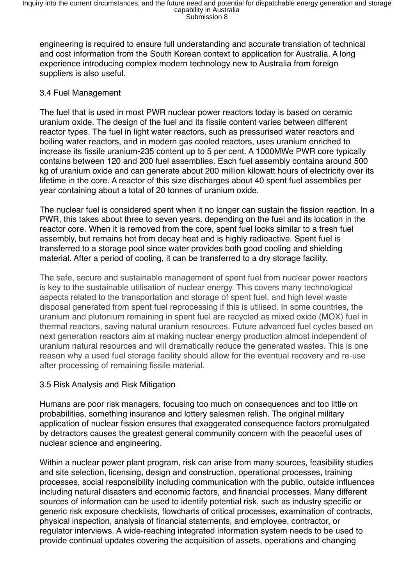engineering is required to ensure full understanding and accurate translation of technical and cost information from the South Korean context to application for Australia. A long experience introducing complex modern technology new to Australia from foreign suppliers is also useful.

## 3.4 Fuel Management

The fuel that is used in most PWR nuclear power reactors today is based on ceramic uranium oxide. The design of the fuel and its fissile content varies between different reactor types. The fuel in light water reactors, such as pressurised water reactors and boiling water reactors, and in modern gas cooled reactors, uses uranium enriched to increase its fissile uranium-235 content up to 5 per cent. A 1000MWe PWR core typically contains between 120 and 200 fuel assemblies. Each fuel assembly contains around 500 kg of uranium oxide and can generate about 200 million kilowatt hours of electricity over its lifetime in the core. A reactor of this size discharges about 40 spent fuel assemblies per year containing about a total of 20 tonnes of uranium oxide.

The nuclear fuel is considered spent when it no longer can sustain the fission reaction. In a PWR, this takes about three to seven years, depending on the fuel and its location in the reactor core. When it is removed from the core, spent fuel looks similar to a fresh fuel assembly, but remains hot from decay heat and is highly radioactive. Spent fuel is transferred to a storage pool since water provides both good cooling and shielding material. After a period of cooling, it can be transferred to a dry storage facility.

The safe, secure and sustainable management of spent fuel from nuclear power reactors is key to the sustainable utilisation of nuclear energy. This covers many technological aspects related to the transportation and storage of spent fuel, and high level waste disposal generated from spent fuel reprocessing if this is utilised. In some countries, the uranium and plutonium remaining in spent fuel are recycled as mixed oxide (MOX) fuel in thermal reactors, saving natural uranium resources. Future advanced fuel cycles based on next generation reactors aim at making nuclear energy production almost independent of uranium natural resources and will dramatically reduce the generated wastes. This is one reason why a used fuel storage facility should allow for the eventual recovery and re-use after processing of remaining fissile material.

#### 3.5 Risk Analysis and Risk Mitigation

Humans are poor risk managers, focusing too much on consequences and too little on probabilities, something insurance and lottery salesmen relish. The original military application of nuclear fission ensures that exaggerated consequence factors promulgated by detractors causes the greatest general community concern with the peaceful uses of nuclear science and engineering.

Within a nuclear power plant program, risk can arise from many sources, feasibility studies and site selection, licensing, design and construction, operational processes, training processes, social responsibility including communication with the public, outside influences including natural disasters and economic factors, and financial processes. Many different sources of information can be used to identify potential risk, such as industry specific or generic risk exposure checklists, flowcharts of critical processes, examination of contracts, physical inspection, analysis of financial statements, and employee, contractor, or regulator interviews. A wide-reaching integrated information system needs to be used to provide continual updates covering the acquisition of assets, operations and changing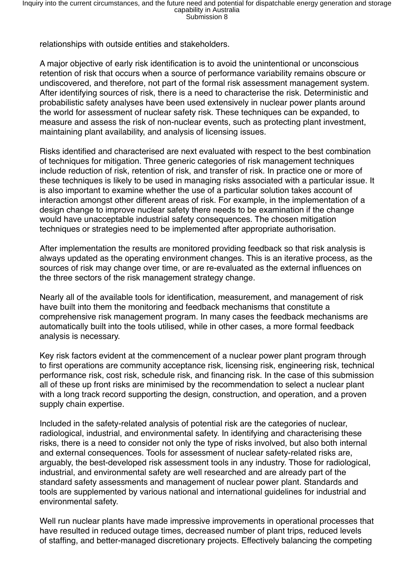relationships with outside entities and stakeholders.

A major objective of early risk identification is to avoid the unintentional or unconscious retention of risk that occurs when a source of performance variability remains obscure or undiscovered, and therefore, not part of the formal risk assessment management system. After identifying sources of risk, there is a need to characterise the risk. Deterministic and probabilistic safety analyses have been used extensively in nuclear power plants around the world for assessment of nuclear safety risk. These techniques can be expanded, to measure and assess the risk of non-nuclear events, such as protecting plant investment, maintaining plant availability, and analysis of licensing issues.

Risks identified and characterised are next evaluated with respect to the best combination of techniques for mitigation. Three generic categories of risk management techniques include reduction of risk, retention of risk, and transfer of risk. In practice one or more of these techniques is likely to be used in managing risks associated with a particular issue. It is also important to examine whether the use of a particular solution takes account of interaction amongst other different areas of risk. For example, in the implementation of a design change to improve nuclear safety there needs to be examination if the change would have unacceptable industrial safety consequences. The chosen mitigation techniques or strategies need to be implemented after appropriate authorisation.

After implementation the results are monitored providing feedback so that risk analysis is always updated as the operating environment changes. This is an iterative process, as the sources of risk may change over time, or are re-evaluated as the external influences on the three sectors of the risk management strategy change.

Nearly all of the available tools for identification, measurement, and management of risk have built into them the monitoring and feedback mechanisms that constitute a comprehensive risk management program. In many cases the feedback mechanisms are automatically built into the tools utilised, while in other cases, a more formal feedback analysis is necessary.

Key risk factors evident at the commencement of a nuclear power plant program through to first operations are community acceptance risk, licensing risk, engineering risk, technical performance risk, cost risk, schedule risk, and financing risk. In the case of this submission all of these up front risks are minimised by the recommendation to select a nuclear plant with a long track record supporting the design, construction, and operation, and a proven supply chain expertise.

Included in the safety-related analysis of potential risk are the categories of nuclear, radiological, industrial, and environmental safety. In identifying and characterising these risks, there is a need to consider not only the type of risks involved, but also both internal and external consequences. Tools for assessment of nuclear safety-related risks are, arguably, the best-developed risk assessment tools in any industry. Those for radiological, industrial, and environmental safety are well researched and are already part of the standard safety assessments and management of nuclear power plant. Standards and tools are supplemented by various national and international guidelines for industrial and environmental safety.

Well run nuclear plants have made impressive improvements in operational processes that have resulted in reduced outage times, decreased number of plant trips, reduced levels of staffing, and better-managed discretionary projects. Effectively balancing the competing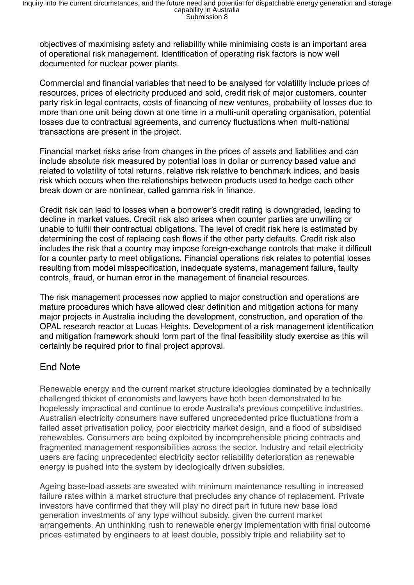objectives of maximising safety and reliability while minimising costs is an important area of operational risk management. Identification of operating risk factors is now well documented for nuclear power plants.

Commercial and financial variables that need to be analysed for volatility include prices of resources, prices of electricity produced and sold, credit risk of major customers, counter party risk in legal contracts, costs of financing of new ventures, probability of losses due to more than one unit being down at one time in a multi-unit operating organisation, potential losses due to contractual agreements, and currency fluctuations when multi-national transactions are present in the project.

Financial market risks arise from changes in the prices of assets and liabilities and can include absolute risk measured by potential loss in dollar or currency based value and related to volatility of total returns, relative risk relative to benchmark indices, and basis risk which occurs when the relationships between products used to hedge each other break down or are nonlinear, called gamma risk in finance.

Credit risk can lead to losses when a borrower's credit rating is downgraded, leading to decline in market values. Credit risk also arises when counter parties are unwilling or unable to fulfil their contractual obligations. The level of credit risk here is estimated by determining the cost of replacing cash flows if the other party defaults. Credit risk also includes the risk that a country may impose foreign-exchange controls that make it difficult for a counter party to meet obligations. Financial operations risk relates to potential losses resulting from model misspecification, inadequate systems, management failure, faulty controls, fraud, or human error in the management of financial resources.

The risk management processes now applied to major construction and operations are mature procedures which have allowed clear definition and mitigation actions for many major projects in Australia including the development, construction, and operation of the OPAL research reactor at Lucas Heights. Development of a risk management identification and mitigation framework should form part of the final feasibility study exercise as this will certainly be required prior to final project approval.

# End Note

Renewable energy and the current market structure ideologies dominated by a technically challenged thicket of economists and lawyers have both been demonstrated to be hopelessly impractical and continue to erode Australia's previous competitive industries. Australian electricity consumers have suffered unprecedented price fluctuations from a failed asset privatisation policy, poor electricity market design, and a flood of subsidised renewables. Consumers are being exploited by incomprehensible pricing contracts and fragmented management responsibilities across the sector. Industry and retail electricity users are facing unprecedented electricity sector reliability deterioration as renewable energy is pushed into the system by ideologically driven subsidies.

Ageing base-load assets are sweated with minimum maintenance resulting in increased failure rates within a market structure that precludes any chance of replacement. Private investors have confirmed that they will play no direct part in future new base load generation investments of any type without subsidy, given the current market arrangements. An unthinking rush to renewable energy implementation with final outcome prices estimated by engineers to at least double, possibly triple and reliability set to